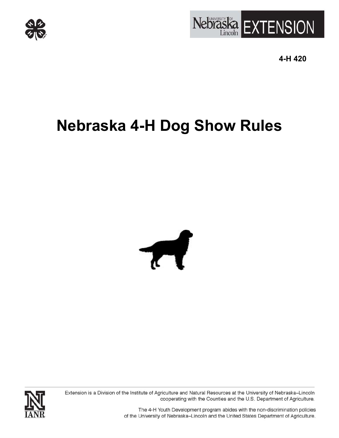



**4-H 420** 

# **Nebraska 4-H Dog Show Rules**



Extension is a Division of the Institute of Agriculture and Natural Resources at the University of Nebraska-Lincoln cooperating with the Counties and the U.S. Department of Agriculture.



The 4-H Youth Development program abides with the non-discrimination policies of the University of Nebraska-Lincoln and the United States Department of Agriculture.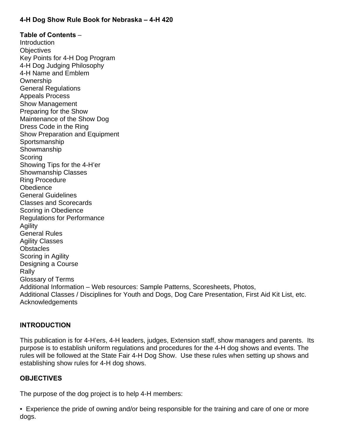# **4-H Dog Show Rule Book for Nebraska – 4-H 420**

**Table of Contents** – **Introduction Objectives** Key Points for 4-H Dog Program 4-H Dog Judging Philosophy 4-H Name and Emblem **Ownership** General Regulations Appeals Process Show Management Preparing for the Show Maintenance of the Show Dog Dress Code in the Ring Show Preparation and Equipment Sportsmanship **Showmanship Scoring** Showing Tips for the 4-H'er Showmanship Classes Ring Procedure **Obedience** General Guidelines Classes and Scorecards Scoring in Obedience Regulations for Performance **Agility** General Rules Agility Classes **Obstacles** Scoring in Agility Designing a Course Rally Glossary of Terms Additional Information – Web resources: Sample Patterns, Scoresheets, Photos, Additional Classes / Disciplines for Youth and Dogs, Dog Care Presentation, First Aid Kit List, etc. Acknowledgements

# **INTRODUCTION**

This publication is for 4-H'ers, 4-H leaders, judges, Extension staff, show managers and parents. Its purpose is to establish uniform regulations and procedures for the 4-H dog shows and events. The rules will be followed at the State Fair 4-H Dog Show. Use these rules when setting up shows and establishing show rules for 4-H dog shows.

#### **OBJECTIVES**

The purpose of the dog project is to help 4-H members:

• Experience the pride of owning and/or being responsible for the training and care of one or more dogs.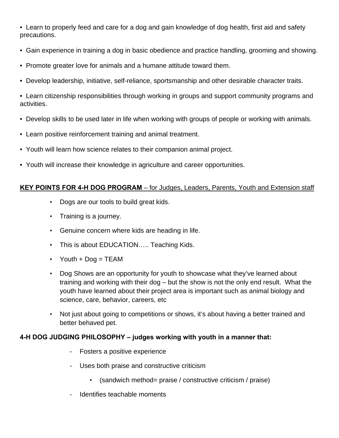• Learn to properly feed and care for a dog and gain knowledge of dog health, first aid and safety precautions.

- Gain experience in training a dog in basic obedience and practice handling, grooming and showing.
- Promote greater love for animals and a humane attitude toward them.
- Develop leadership, initiative, self-reliance, sportsmanship and other desirable character traits.

• Learn citizenship responsibilities through working in groups and support community programs and activities.

- Develop skills to be used later in life when working with groups of people or working with animals.
- Learn positive reinforcement training and animal treatment.
- Youth will learn how science relates to their companion animal project.
- Youth will increase their knowledge in agriculture and career opportunities.

# **KEY POINTS FOR 4-H DOG PROGRAM** – for Judges, Leaders, Parents, Youth and Extension staff

- Dogs are our tools to build great kids.
- Training is a journey.
- Genuine concern where kids are heading in life.
- This is about EDUCATION..... Teaching Kids.
- Youth  $+$  Dog = TEAM
- Dog Shows are an opportunity for youth to showcase what they've learned about training and working with their dog – but the show is not the only end result. What the youth have learned about their project area is important such as animal biology and science, care, behavior, careers, etc
- Not just about going to competitions or shows, it's about having a better trained and better behaved pet.

# **4-H DOG JUDGING PHILOSOPHY – judges working with youth in a manner that:**

- Fosters a positive experience
- Uses both praise and constructive criticism
	- (sandwich method= praise / constructive criticism / praise)
- Identifies teachable moments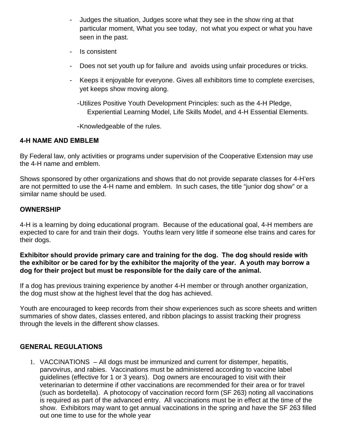- Judges the situation, Judges score what they see in the show ring at that particular moment, What you see today, not what you expect or what you have seen in the past.
- Is consistent
- Does not set youth up for failure and avoids using unfair procedures or tricks.
- Keeps it enjoyable for everyone. Gives all exhibitors time to complete exercises, yet keeps show moving along.
	- Utilizes Positive Youth Development Principles: such as the 4-H Pledge, Experiential Learning Model, Life Skills Model, and 4-H Essential Elements.

- Knowledgeable of the rules.

#### **4-H NAME AND EMBLEM**

By Federal law, only activities or programs under supervision of the Cooperative Extension may use the 4-H name and emblem.

Shows sponsored by other organizations and shows that do not provide separate classes for 4-H'ers are not permitted to use the 4-H name and emblem. In such cases, the title "junior dog show" or a similar name should be used.

# **OWNERSHIP**

4-H is a learning by doing educational program. Because of the educational goal, 4-H members are expected to care for and train their dogs. Youths learn very little if someone else trains and cares for their dogs.

#### **Exhibitor should provide primary care and training for the dog. The dog should reside with the exhibitor or be cared for by the exhibitor the majority of the year. A youth may borrow a dog for their project but must be responsible for the daily care of the animal.**

If a dog has previous training experience by another 4-H member or through another organization, the dog must show at the highest level that the dog has achieved.

Youth are encouraged to keep records from their show experiences such as score sheets and written summaries of show dates, classes entered, and ribbon placings to assist tracking their progress through the levels in the different show classes.

# **GENERAL REGULATIONS**

1. VACCINATIONS – All dogs must be immunized and current for distemper, hepatitis, parvovirus, and rabies. Vaccinations must be administered according to vaccine label guidelines (effective for 1 or 3 years). Dog owners are encouraged to visit with their veterinarian to determine if other vaccinations are recommended for their area or for travel (such as bordetella). A photocopy of vaccination record form (SF 263) noting all vaccinations is required as part of the advanced entry. All vaccinations must be in effect at the time of the show. Exhibitors may want to get annual vaccinations in the spring and have the SF 263 filled out one time to use for the whole year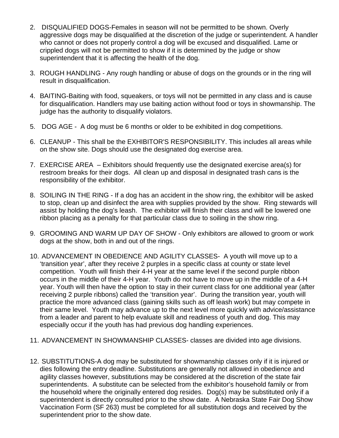- 2. DISQUALIFIED DOGS-Females in season will not be permitted to be shown. Overly aggressive dogs may be disqualified at the discretion of the judge or superintendent. A handler who cannot or does not properly control a dog will be excused and disqualified. Lame or crippled dogs will not be permitted to show if it is determined by the judge or show superintendent that it is affecting the health of the dog.
- 3. ROUGH HANDLING Any rough handling or abuse of dogs on the grounds or in the ring will result in disqualification.
- 4. BAITING-Baiting with food, squeakers, or toys will not be permitted in any class and is cause for disqualification. Handlers may use baiting action without food or toys in showmanship. The judge has the authority to disqualify violators.
- 5. DOG AGE A dog must be 6 months or older to be exhibited in dog competitions.
- 6. CLEANUP This shall be the EXHIBITOR'S RESPONSIBILITY. This includes all areas while on the show site. Dogs should use the designated dog exercise area.
- 7. EXERCISE AREA Exhibitors should frequently use the designated exercise area(s) for restroom breaks for their dogs. All clean up and disposal in designated trash cans is the responsibility of the exhibitor.
- 8. SOILING IN THE RING If a dog has an accident in the show ring, the exhibitor will be asked to stop, clean up and disinfect the area with supplies provided by the show. Ring stewards will assist by holding the dog's leash. The exhibitor will finish their class and will be lowered one ribbon placing as a penalty for that particular class due to soiling in the show ring.
- 9. GROOMING AND WARM UP DAY OF SHOW Only exhibitors are allowed to groom or work dogs at the show, both in and out of the rings.
- 10. ADVANCEMENT IN OBEDIENCE AND AGILITY CLASSES- A youth will move up to a 'transition year', after they receive 2 purples in a specific class at county or state level competition. Youth will finish their 4-H year at the same level if the second purple ribbon occurs in the middle of their 4-H year. Youth do not have to move up in the middle of a 4-H year. Youth will then have the option to stay in their current class for one additional year (after receiving 2 purple ribbons) called the 'transition year'. During the transition year, youth will practice the more advanced class (gaining skills such as off leash work) but may compete in their same level. Youth may advance up to the next level more quickly with advice/assistance from a leader and parent to help evaluate skill and readiness of youth and dog. This may especially occur if the youth has had previous dog handling experiences.
- 11. ADVANCEMENT IN SHOWMANSHIP CLASSES- classes are divided into age divisions.
- 12. SUBSTITUTIONS-A dog may be substituted for showmanship classes only if it is injured or dies following the entry deadline. Substitutions are generally not allowed in obedience and agility classes however, substitutions may be considered at the discretion of the state fair superintendents. A substitute can be selected from the exhibitor's household family or from the household where the originally entered dog resides. Dog(s) may be substituted only if a superintendent is directly consulted prior to the show date. A Nebraska State Fair Dog Show Vaccination Form (SF 263) must be completed for all substitution dogs and received by the superintendent prior to the show date.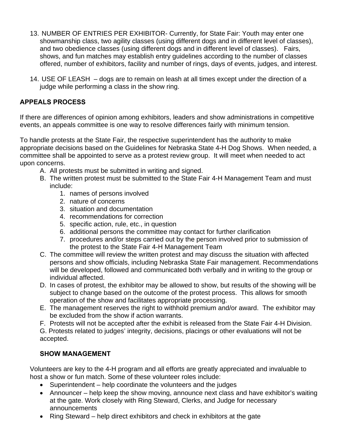- 13. NUMBER OF ENTRIES PER EXHIBITOR- Currently, for State Fair: Youth may enter one showmanship class, two agility classes (using different dogs and in different level of classes), and two obedience classes (using different dogs and in different level of classes). Fairs, shows, and fun matches may establish entry guidelines according to the number of classes offered, number of exhibitors, facility and number of rings, days of events, judges, and interest.
- 14. USE OF LEASH dogs are to remain on leash at all times except under the direction of a judge while performing a class in the show ring.

# **APPEALS PROCESS**

If there are differences of opinion among exhibitors, leaders and show administrations in competitive events, an appeals committee is one way to resolve differences fairly with minimum tension.

To handle protests at the State Fair, the respective superintendent has the authority to make appropriate decisions based on the Guidelines for Nebraska State 4-H Dog Shows. When needed, a committee shall be appointed to serve as a protest review group. It will meet when needed to act upon concerns.

- A. All protests must be submitted in writing and signed.
- B. The written protest must be submitted to the State Fair 4-H Management Team and must include:
	- 1. names of persons involved
	- 2. nature of concerns
	- 3. situation and documentation
	- 4. recommendations for correction
	- 5. specific action, rule, etc., in question
	- 6. additional persons the committee may contact for further clarification
	- 7. procedures and/or steps carried out by the person involved prior to submission of the protest to the State Fair 4-H Management Team
- C. The committee will review the written protest and may discuss the situation with affected persons and show officials, including Nebraska State Fair management. Recommendations will be developed, followed and communicated both verbally and in writing to the group or individual affected.
- D. In cases of protest, the exhibitor may be allowed to show, but results of the showing will be subject to change based on the outcome of the protest process. This allows for smooth operation of the show and facilitates appropriate processing.
- E. The management reserves the right to withhold premium and/or award. The exhibitor may be excluded from the show if action warrants.
- F. Protests will not be accepted after the exhibit is released from the State Fair 4-H Division.

G. Protests related to judges' integrity, decisions, placings or other evaluations will not be accepted.

# **SHOW MANAGEMENT**

Volunteers are key to the 4-H program and all efforts are greatly appreciated and invaluable to host a show or fun match. Some of these volunteer roles include:

- Superintendent help coordinate the volunteers and the judges
- Announcer help keep the show moving, announce next class and have exhibitor's waiting at the gate. Work closely with Ring Steward, Clerks, and Judge for necessary announcements
- Ring Steward help direct exhibitors and check in exhibitors at the gate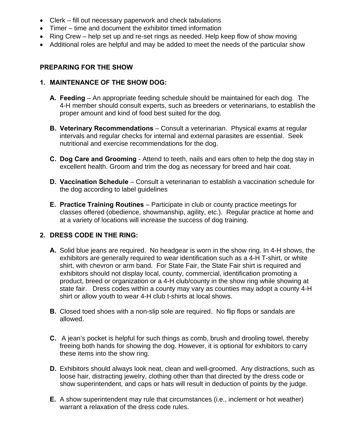- Clerk fill out necessary paperwork and check tabulations
- Timer time and document the exhibitor timed information
- Ring Crew help set up and re-set rings as needed. Help keep flow of show moving
- Additional roles are helpful and may be added to meet the needs of the particular show

#### **PREPARING FOR THE SHOW**

#### **1. MAINTENANCE OF THE SHOW DOG:**

- **A. Feeding**  An appropriate feeding schedule should be maintained for each dog. The 4-H member should consult experts, such as breeders or veterinarians, to establish the proper amount and kind of food best suited for the dog.
- **B. Veterinary Recommendations** Consult a veterinarian. Physical exams at regular intervals and regular checks for internal and external parasites are essential. Seek nutritional and exercise recommendations for the dog.
- **C. Dog Care and Grooming**  Attend to teeth, nails and ears often to help the dog stay in excellent health. Groom and trim the dog as necessary for breed and hair coat.
- **D. Vaccination Schedule** Consult a veterinarian to establish a vaccination schedule for the dog according to label guidelines
- **E. Practice Training Routines** Participate in club or county practice meetings for classes offered (obedience, showmanship, agility, etc.). Regular practice at home and at a variety of locations will increase the success of dog training.

# **2. DRESS CODE IN THE RING:**

- **A.** Solid blue jeans are required. No headgear is worn in the show ring. In 4-H shows, the exhibitors are generally required to wear identification such as a 4-H T-shirt, or white shirt, with chevron or arm band. For State Fair, the State Fair shirt is required and exhibitors should not display local, county, commercial, identification promoting a product, breed or organization or a 4-H club/county in the show ring while showing at state fair. Dress codes within a county may vary as counties may adopt a county 4-H shirt or allow youth to wear 4-H club t-shirts at local shows.
- **B.** Closed toed shoes with a non-slip sole are required. No flip flops or sandals are allowed.
- **C.** A jean's pocket is helpful for such things as comb, brush and drooling towel, thereby freeing both hands for showing the dog. However, it is optional for exhibitors to carry these items into the show ring.
- **D.** Exhibitors should always look neat, clean and well-groomed. Any distractions, such as loose hair, distracting jewelry, clothing other than that directed by the dress code or show superintendent, and caps or hats will result in deduction of points by the judge.
- **E.** A show superintendent may rule that circumstances (i.e., inclement or hot weather) warrant a relaxation of the dress code rules.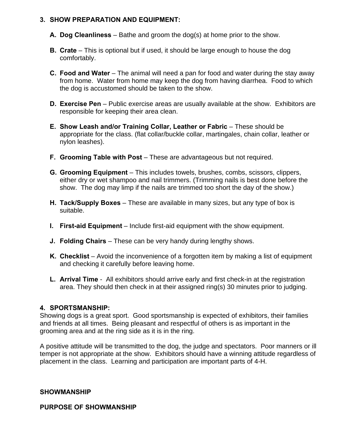#### **3. SHOW PREPARATION AND EQUIPMENT:**

- **A. Dog Cleanliness**  Bathe and groom the dog(s) at home prior to the show.
- **B. Crate** This is optional but if used, it should be large enough to house the dog comfortably.
- **C. Food and Water** The animal will need a pan for food and water during the stay away from home. Water from home may keep the dog from having diarrhea. Food to which the dog is accustomed should be taken to the show.
- **D. Exercise Pen** Public exercise areas are usually available at the show. Exhibitors are responsible for keeping their area clean.
- **E. Show Leash and/or Training Collar, Leather or Fabric**  These should be appropriate for the class. (flat collar/buckle collar, martingales, chain collar, leather or nylon leashes).
- **F. Grooming Table with Post** These are advantageous but not required.
- **G. Grooming Equipment**  This includes towels, brushes, combs, scissors, clippers, either dry or wet shampoo and nail trimmers. (Trimming nails is best done before the show. The dog may limp if the nails are trimmed too short the day of the show.)
- **H. Tack/Supply Boxes**  These are available in many sizes, but any type of box is suitable.
- **I.** First-aid Equipment Include first-aid equipment with the show equipment.
- **J. Folding Chairs** These can be very handy during lengthy shows.
- **K. Checklist** Avoid the inconvenience of a forgotten item by making a list of equipment and checking it carefully before leaving home.
- **L. Arrival Time** All exhibitors should arrive early and first check-in at the registration area. They should then check in at their assigned ring(s) 30 minutes prior to judging.

# **4. SPORTSMANSHIP:**

Showing dogs is a great sport. Good sportsmanship is expected of exhibitors, their families and friends at all times. Being pleasant and respectful of others is as important in the grooming area and at the ring side as it is in the ring.

A positive attitude will be transmitted to the dog, the judge and spectators. Poor manners or ill temper is not appropriate at the show. Exhibitors should have a winning attitude regardless of placement in the class. Learning and participation are important parts of 4-H.

#### **SHOWMANSHIP**

**PURPOSE OF SHOWMANSHIP**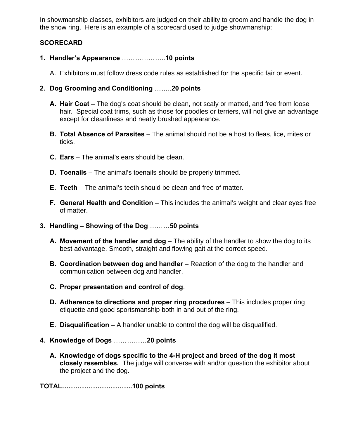In showmanship classes, exhibitors are judged on their ability to groom and handle the dog in the show ring. Here is an example of a scorecard used to judge showmanship:

# **SCORECARD**

- **1. Handler's Appearance** ………………..**10 points** 
	- A. Exhibitors must follow dress code rules as established for the specific fair or event.
- **2. Dog Grooming and Conditioning** ……..**20 points** 
	- **A. Hair Coat**  The dog's coat should be clean, not scaly or matted, and free from loose hair. Special coat trims, such as those for poodles or terriers, will not give an advantage except for cleanliness and neatly brushed appearance.
	- **B. Total Absence of Parasites** The animal should not be a host to fleas, lice, mites or ticks.
	- **C. Ears**  The animal's ears should be clean.
	- **D. Toenails**  The animal's toenails should be properly trimmed.
	- **E. Teeth**  The animal's teeth should be clean and free of matter.
	- **F. General Health and Condition** This includes the animal's weight and clear eyes free of matter.
- **3. Handling Showing of the Dog** ………**50 points** 
	- **A. Movement of the handler and dog** The ability of the handler to show the dog to its best advantage. Smooth, straight and flowing gait at the correct speed.
	- **B. Coordination between dog and handler** Reaction of the dog to the handler and communication between dog and handler.
	- **C. Proper presentation and control of dog**.
	- **D. Adherence to directions and proper ring procedures** This includes proper ring etiquette and good sportsmanship both in and out of the ring.
	- **E. Disqualification** A handler unable to control the dog will be disqualified.
- **4. Knowledge of Dogs** ……………**20 points** 
	- **A. Knowledge of dogs specific to the 4-H project and breed of the dog it most closely resembles.** The judge will converse with and/or question the exhibitor about the project and the dog.

**TOTAL…………………………..100 points**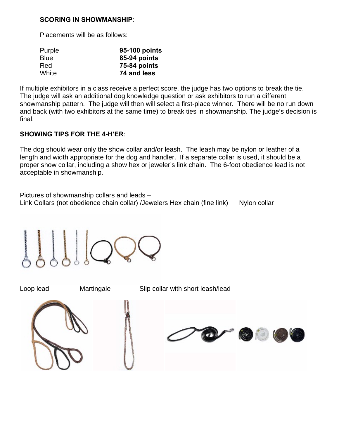#### **SCORING IN SHOWMANSHIP**:

Placements will be as follows:

| Purple      | 95-100 points |
|-------------|---------------|
| <b>Blue</b> | 85-94 points  |
| Red         | 75-84 points  |
| White       | 74 and less   |

If multiple exhibitors in a class receive a perfect score, the judge has two options to break the tie. The judge will ask an additional dog knowledge question or ask exhibitors to run a different showmanship pattern. The judge will then will select a first-place winner. There will be no run down and back (with two exhibitors at the same time) to break ties in showmanship. The judge's decision is final.

#### **SHOWING TIPS FOR THE 4-H'ER**:

The dog should wear only the show collar and/or leash. The leash may be nylon or leather of a length and width appropriate for the dog and handler. If a separate collar is used, it should be a proper show collar, including a show hex or jeweler's link chain. The 6-foot obedience lead is not acceptable in showmanship.

Pictures of showmanship collars and leads – Link Collars (not obedience chain collar) /Jewelers Hex chain (fine link) Nylon collar

Loop lead Martingale Slip collar with short leash/lead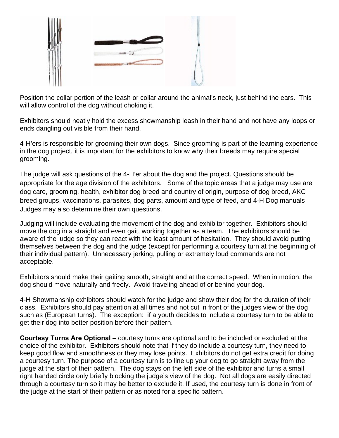

Position the collar portion of the leash or collar around the animal's neck, just behind the ears. This will allow control of the dog without choking it.

Exhibitors should neatly hold the excess showmanship leash in their hand and not have any loops or ends dangling out visible from their hand.

4-H'ers is responsible for grooming their own dogs. Since grooming is part of the learning experience in the dog project, it is important for the exhibitors to know why their breeds may require special grooming.

The judge will ask questions of the 4-H'er about the dog and the project. Questions should be appropriate for the age division of the exhibitors. Some of the topic areas that a judge may use are dog care, grooming, health, exhibitor dog breed and country of origin, purpose of dog breed, AKC breed groups, vaccinations, parasites, dog parts, amount and type of feed, and 4-H Dog manuals Judges may also determine their own questions.

Judging will include evaluating the movement of the dog and exhibitor together. Exhibitors should move the dog in a straight and even gait, working together as a team. The exhibitors should be aware of the judge so they can react with the least amount of hesitation. They should avoid putting themselves between the dog and the judge (except for performing a courtesy turn at the beginning of their individual pattern). Unnecessary jerking, pulling or extremely loud commands are not acceptable.

Exhibitors should make their gaiting smooth, straight and at the correct speed. When in motion, the dog should move naturally and freely. Avoid traveling ahead of or behind your dog.

4-H Showmanship exhibitors should watch for the judge and show their dog for the duration of their class. Exhibitors should pay attention at all times and not cut in front of the judges view of the dog such as (European turns). The exception: if a youth decides to include a courtesy turn to be able to get their dog into better position before their pattern.

**Courtesy Turns Are Optional** – courtesy turns are optional and to be included or excluded at the choice of the exhibitor. Exhibitors should note that if they do include a courtesy turn, they need to keep good flow and smoothness or they may lose points. Exhibitors do not get extra credit for doing a courtesy turn. The purpose of a courtesy turn is to line up your dog to go straight away from the judge at the start of their pattern. The dog stays on the left side of the exhibitor and turns a small right handed circle only briefly blocking the judge's view of the dog. Not all dogs are easily directed through a courtesy turn so it may be better to exclude it. If used, the courtesy turn is done in front of the judge at the start of their pattern or as noted for a specific pattern.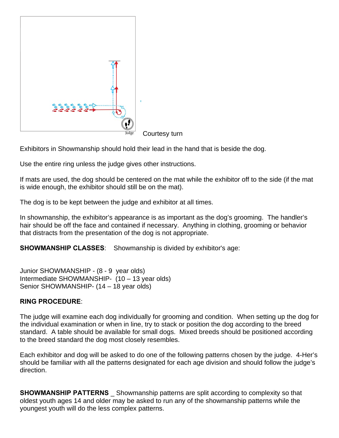

Courtesy turn

Exhibitors in Showmanship should hold their lead in the hand that is beside the dog.

Use the entire ring unless the judge gives other instructions.

If mats are used, the dog should be centered on the mat while the exhibitor off to the side (if the mat is wide enough, the exhibitor should still be on the mat).

The dog is to be kept between the judge and exhibitor at all times.

In showmanship, the exhibitor's appearance is as important as the dog's grooming. The handler's hair should be off the face and contained if necessary. Anything in clothing, grooming or behavior that distracts from the presentation of the dog is not appropriate.

**SHOWMANSHIP CLASSES**: Showmanship is divided by exhibitor's age:

Junior SHOWMANSHIP - (8 - 9 year olds) Intermediate SHOWMANSHIP- (10 – 13 year olds) Senior SHOWMANSHIP- (14 – 18 year olds)

#### **RING PROCEDURE**:

The judge will examine each dog individually for grooming and condition. When setting up the dog for the individual examination or when in line, try to stack or position the dog according to the breed standard. A table should be available for small dogs. Mixed breeds should be positioned according to the breed standard the dog most closely resembles.

Each exhibitor and dog will be asked to do one of the following patterns chosen by the judge. 4-Her's should be familiar with all the patterns designated for each age division and should follow the judge's direction.

**SHOWMANSHIP PATTERNS** Showmanship patterns are split according to complexity so that oldest youth ages 14 and older may be asked to run any of the showmanship patterns while the youngest youth will do the less complex patterns.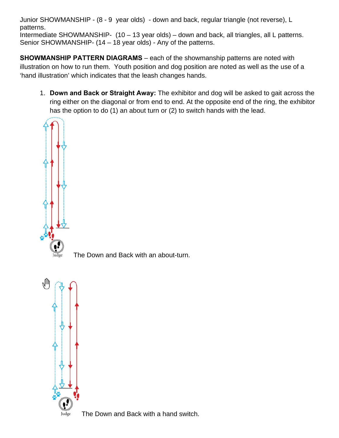Junior SHOWMANSHIP - (8 - 9 year olds) - down and back, regular triangle (not reverse), L patterns. Intermediate SHOWMANSHIP- (10 – 13 year olds) – down and back, all triangles, all L patterns. Senior SHOWMANSHIP- (14 – 18 year olds) - Any of the patterns.

**SHOWMANSHIP PATTERN DIAGRAMS** – each of the showmanship patterns are noted with illustration on how to run them. Youth position and dog position are noted as well as the use of a 'hand illustration' which indicates that the leash changes hands.

1. **Down and Back or Straight Away:** The exhibitor and dog will be asked to gait across the ring either on the diagonal or from end to end. At the opposite end of the ring, the exhibitor has the option to do (1) an about turn or (2) to switch hands with the lead.



The Down and Back with an about-turn.



The Down and Back with a hand switch.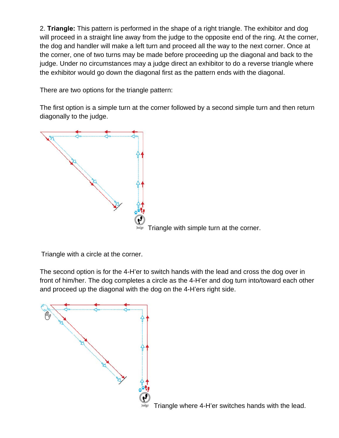2. **Triangle:** This pattern is performed in the shape of a right triangle. The exhibitor and dog will proceed in a straight line away from the judge to the opposite end of the ring. At the corner, the dog and handler will make a left turn and proceed all the way to the next corner. Once at the corner, one of two turns may be made before proceeding up the diagonal and back to the judge. Under no circumstances may a judge direct an exhibitor to do a reverse triangle where the exhibitor would go down the diagonal first as the pattern ends with the diagonal.

There are two options for the triangle pattern:

The first option is a simple turn at the corner followed by a second simple turn and then return diagonally to the judge.



Triangle with a circle at the corner.

The second option is for the 4-H'er to switch hands with the lead and cross the dog over in front of him/her. The dog completes a circle as the 4-H'er and dog turn into/toward each other and proceed up the diagonal with the dog on the 4-H'ers right side.

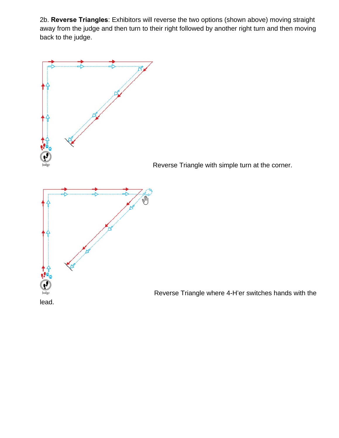2b. **Reverse Triangles**: Exhibitors will reverse the two options (shown above) moving straight away from the judge and then turn to their right followed by another right turn and then moving back to the judge.

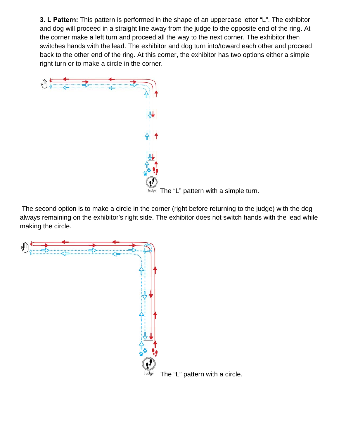**3. L Pattern:** This pattern is performed in the shape of an uppercase letter "L". The exhibitor and dog will proceed in a straight line away from the judge to the opposite end of the ring. At the corner make a left turn and proceed all the way to the next corner. The exhibitor then switches hands with the lead. The exhibitor and dog turn into/toward each other and proceed back to the other end of the ring. At this corner, the exhibitor has two options either a simple right turn or to make a circle in the corner.



 $\overline{\text{Judge}}$  The "L" pattern with a simple turn.

 The second option is to make a circle in the corner (right before returning to the judge) with the dog always remaining on the exhibitor's right side. The exhibitor does not switch hands with the lead while making the circle.

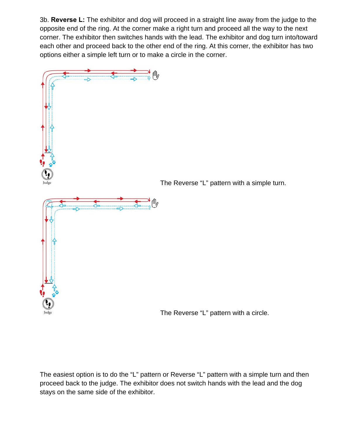3b. **Reverse L:** The exhibitor and dog will proceed in a straight line away from the judge to the opposite end of the ring. At the corner make a right turn and proceed all the way to the next corner. The exhibitor then switches hands with the lead. The exhibitor and dog turn into/toward each other and proceed back to the other end of the ring. At this corner, the exhibitor has two options either a simple left turn or to make a circle in the corner.



The easiest option is to do the "L" pattern or Reverse "L" pattern with a simple turn and then proceed back to the judge. The exhibitor does not switch hands with the lead and the dog stays on the same side of the exhibitor.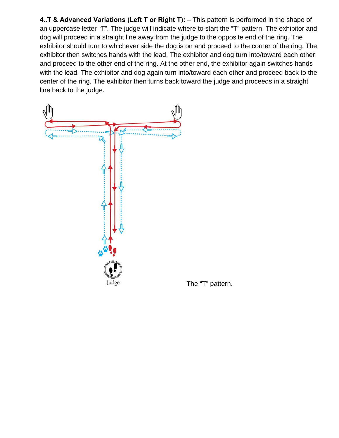**4..T & Advanced Variations (Left T or Right T):** – This pattern is performed in the shape of an uppercase letter "T". The judge will indicate where to start the "T" pattern. The exhibitor and dog will proceed in a straight line away from the judge to the opposite end of the ring. The exhibitor should turn to whichever side the dog is on and proceed to the corner of the ring. The exhibitor then switches hands with the lead. The exhibitor and dog turn into/toward each other and proceed to the other end of the ring. At the other end, the exhibitor again switches hands with the lead. The exhibitor and dog again turn into/toward each other and proceed back to the center of the ring. The exhibitor then turns back toward the judge and proceeds in a straight line back to the judge.



The "T" pattern.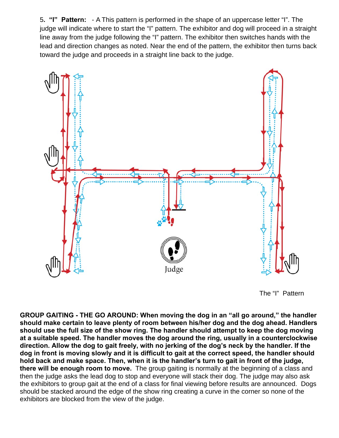5**. "I" Pattern:** - A This pattern is performed in the shape of an uppercase letter "I". The judge will indicate where to start the "I" pattern. The exhibitor and dog will proceed in a straight line away from the judge following the "I" pattern. The exhibitor then switches hands with the lead and direction changes as noted. Near the end of the pattern, the exhibitor then turns back toward the judge and proceeds in a straight line back to the judge.



The "I" Pattern

**GROUP GAITING - THE GO AROUND: When moving the dog in an "all go around," the handler should make certain to leave plenty of room between his/her dog and the dog ahead. Handlers should use the full size of the show ring. The handler should attempt to keep the dog moving at a suitable speed. The handler moves the dog around the ring, usually in a counterclockwise direction. Allow the dog to gait freely, with no jerking of the dog's neck by the handler. If the dog in front is moving slowly and it is difficult to gait at the correct speed, the handler should hold back and make space. Then, when it is the handler's turn to gait in front of the judge, there will be enough room to move.** The group gaiting is normally at the beginning of a class and then the judge asks the lead dog to stop and everyone will stack their dog. The judge may also ask the exhibitors to group gait at the end of a class for final viewing before results are announced. Dogs should be stacked around the edge of the show ring creating a curve in the corner so none of the exhibitors are blocked from the view of the judge.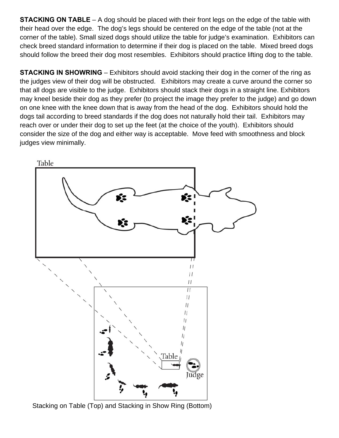**STACKING ON TABLE** – A dog should be placed with their front legs on the edge of the table with their head over the edge. The dog's legs should be centered on the edge of the table (not at the corner of the table). Small sized dogs should utilize the table for judge's examination. Exhibitors can check breed standard information to determine if their dog is placed on the table. Mixed breed dogs should follow the breed their dog most resembles. Exhibitors should practice lifting dog to the table.

**STACKING IN SHOWRING** – Exhibitors should avoid stacking their dog in the corner of the ring as the judges view of their dog will be obstructed. Exhibitors may create a curve around the corner so that all dogs are visible to the judge. Exhibitors should stack their dogs in a straight line. Exhibitors may kneel beside their dog as they prefer (to project the image they prefer to the judge) and go down on one knee with the knee down that is away from the head of the dog. Exhibitors should hold the dogs tail according to breed standards if the dog does not naturally hold their tail. Exhibitors may reach over or under their dog to set up the feet (at the choice of the youth). Exhibitors should consider the size of the dog and either way is acceptable. Move feed with smoothness and block judges view minimally.



Stacking on Table (Top) and Stacking in Show Ring (Bottom)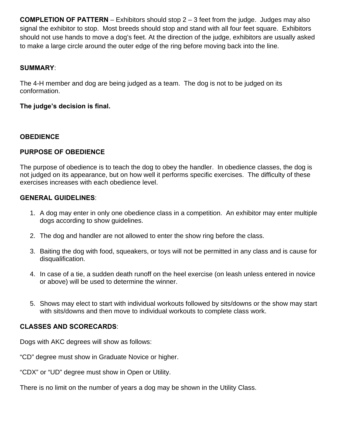**COMPLETION OF PATTERN** – Exhibitors should stop 2 – 3 feet from the judge. Judges may also signal the exhibitor to stop. Most breeds should stop and stand with all four feet square. Exhibitors should not use hands to move a dog's feet. At the direction of the judge, exhibitors are usually asked to make a large circle around the outer edge of the ring before moving back into the line.

#### **SUMMARY**:

The 4-H member and dog are being judged as a team. The dog is not to be judged on its conformation.

#### **The judge's decision is final.**

#### **OBEDIENCE**

#### **PURPOSE OF OBEDIENCE**

The purpose of obedience is to teach the dog to obey the handler. In obedience classes, the dog is not judged on its appearance, but on how well it performs specific exercises. The difficulty of these exercises increases with each obedience level.

#### **GENERAL GUIDELINES**:

- 1. A dog may enter in only one obedience class in a competition. An exhibitor may enter multiple dogs according to show guidelines.
- 2. The dog and handler are not allowed to enter the show ring before the class.
- 3. Baiting the dog with food, squeakers, or toys will not be permitted in any class and is cause for disqualification.
- 4. In case of a tie, a sudden death runoff on the heel exercise (on leash unless entered in novice or above) will be used to determine the winner.
- 5. Shows may elect to start with individual workouts followed by sits/downs or the show may start with sits/downs and then move to individual workouts to complete class work.

# **CLASSES AND SCORECARDS**:

Dogs with AKC degrees will show as follows:

"CD" degree must show in Graduate Novice or higher.

"CDX" or "UD" degree must show in Open or Utility.

There is no limit on the number of years a dog may be shown in the Utility Class.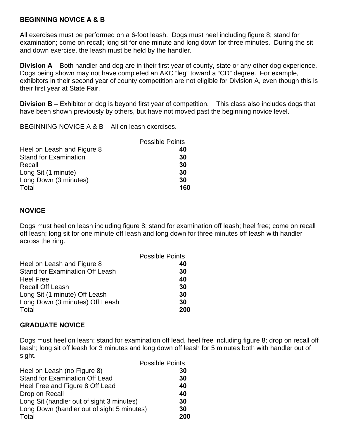#### **BEGINNING NOVICE A & B**

All exercises must be performed on a 6-foot leash. Dogs must heel including figure 8; stand for examination; come on recall; long sit for one minute and long down for three minutes. During the sit and down exercise, the leash must be held by the handler.

**Division A** – Both handler and dog are in their first year of county, state or any other dog experience. Dogs being shown may not have completed an AKC "leg" toward a "CD" degree. For example, exhibitors in their second year of county competition are not eligible for Division A, even though this is their first year at State Fair.

**Division B** – Exhibitor or dog is beyond first year of competition. This class also includes dogs that have been shown previously by others, but have not moved past the beginning novice level.

BEGINNING NOVICE A & B – All on leash exercises.

|                              | <b>Possible Points</b> |
|------------------------------|------------------------|
| Heel on Leash and Figure 8   | 40                     |
| <b>Stand for Examination</b> | 30                     |
| Recall                       | 30                     |
| Long Sit (1 minute)          | 30                     |
| Long Down (3 minutes)        | 30                     |
| Total                        | 160                    |

#### **NOVICE**

Dogs must heel on leash including figure 8; stand for examination off leash; heel free; come on recall off leash; long sit for one minute off leash and long down for three minutes off leash with handler across the ring.

|                                        | <b>Possible Points</b> |
|----------------------------------------|------------------------|
| Heel on Leash and Figure 8             | 40                     |
| <b>Stand for Examination Off Leash</b> | 30                     |
| <b>Heel Free</b>                       | 40                     |
| <b>Recall Off Leash</b>                | 30                     |
| Long Sit (1 minute) Off Leash          | 30                     |
| Long Down (3 minutes) Off Leash        | 30                     |
| Total                                  | 200                    |

#### **GRADUATE NOVICE**

Dogs must heel on leash; stand for examination off lead, heel free including figure 8; drop on recall off leash; long sit off leash for 3 minutes and long down off leash for 5 minutes both with handler out of sight.

|                                            | <b>Possible Points</b> |
|--------------------------------------------|------------------------|
| Heel on Leash (no Figure 8)                | 30                     |
| <b>Stand for Examination Off Lead</b>      | 30                     |
| Heel Free and Figure 8 Off Lead            | 40                     |
| Drop on Recall                             | 40                     |
| Long Sit (handler out of sight 3 minutes)  | 30                     |
| Long Down (handler out of sight 5 minutes) | 30                     |
| Total                                      | 200                    |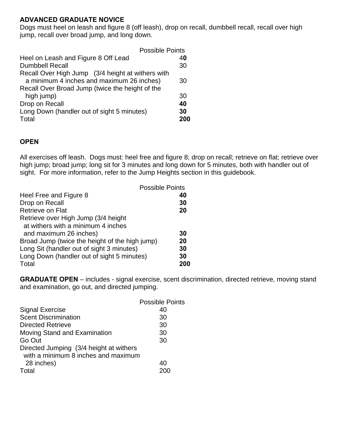# **ADVANCED GRADUATE NOVICE**

Dogs must heel on leash and figure 8 (off leash), drop on recall, dumbbell recall, recall over high jump, recall over broad jump, and long down.

| <b>Possible Points</b>                            |     |
|---------------------------------------------------|-----|
| Heel on Leash and Figure 8 Off Lead               | 40  |
| <b>Dumbbell Recall</b>                            | 30  |
| Recall Over High Jump (3/4 height at withers with |     |
| a minimum 4 inches and maximum 26 inches)         | 30  |
| Recall Over Broad Jump (twice the height of the   |     |
| high jump)                                        | 30  |
| Drop on Recall                                    | 40  |
| Long Down (handler out of sight 5 minutes)        | 30  |
| Total                                             | 200 |

#### **OPEN**

All exercises off leash. Dogs must: heel free and figure 8; drop on recall; retrieve on flat; retrieve over high jump; broad jump; long sit for 3 minutes and long down for 5 minutes, both with handler out of sight. For more information, refer to the Jump Heights section in this guidebook.

|                                                | <b>Possible Points</b> |
|------------------------------------------------|------------------------|
| Heel Free and Figure 8                         | 40                     |
| Drop on Recall                                 | 30                     |
| Retrieve on Flat                               | 20                     |
| Retrieve over High Jump (3/4 height)           |                        |
| at withers with a minimum 4 inches             |                        |
| and maximum 26 inches)                         | 30                     |
| Broad Jump (twice the height of the high jump) | 20                     |
| Long Sit (handler out of sight 3 minutes)      | 30                     |
| Long Down (handler out of sight 5 minutes)     | 30                     |
| Total                                          |                        |

**GRADUATE OPEN** – includes - signal exercise, scent discrimination, directed retrieve, moving stand and examination, go out, and directed jumping.

|                                         | <b>Possible Points</b> |
|-----------------------------------------|------------------------|
| <b>Signal Exercise</b>                  | 40                     |
| <b>Scent Discrimination</b>             | 30                     |
| <b>Directed Retrieve</b>                | 30                     |
| Moving Stand and Examination            | 30                     |
| Go Out                                  | 30                     |
| Directed Jumping (3/4 height at withers |                        |
| with a minimum 8 inches and maximum     |                        |
| 28 inches)                              | 40                     |
| Total                                   |                        |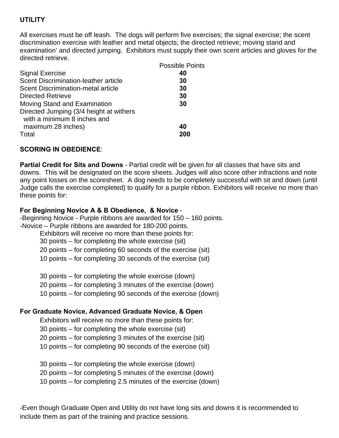# **UTILITY**

All exercises must be off leash. The dogs will perform five exercises; the signal exercise; the scent discrimination exercise with leather and metal objects; the directed retrieve; moving stand and examination' and directed jumping. Exhibitors must supply their own scent articles and gloves for the directed retrieve.

|                                         | Possible Points |
|-----------------------------------------|-----------------|
| <b>Signal Exercise</b>                  | 40              |
| Scent Discrimination-leather article    | 30              |
| Scent Discrimination-metal article      | 30              |
| <b>Directed Retrieve</b>                | 30              |
| Moving Stand and Examination            | 30              |
| Directed Jumping (3/4 height at withers |                 |
| with a minimum 8 inches and             |                 |
| maximum 28 inches)                      | 40              |
| Total                                   | 200             |
|                                         |                 |

#### **SCORING IN OBEDIENCE**:

**Partial Credit for Sits and Downs** - Partial credit will be given for all classes that have sits and downs. This will be designated on the score sheets. Judges will also score other infractions and note any point losses on the scoresheet. A dog needs to be completely successful with sit and down (until Judge calls the exercise completed) to qualify for a purple ribbon. Exhibitors will receive no more than these points for:

#### **For Beginning Novice A & B Obedience, & Novice** -

-Beginning Novice - Purple ribbons are awarded for 150 – 160 points. -Novice – Purple ribbons are awarded for 180-200 points.

Exhibitors will receive no more than these points for:

30 points – for completing the whole exercise (sit)

20 points – for completing 60 seconds of the exercise (sit)

10 points – for completing 30 seconds of the exercise (sit)

30 points – for completing the whole exercise (down)

20 points – for completing 3 minutes of the exercise (down)

10 points – for completing 90 seconds of the exercise (down)

#### **For Graduate Novice, Advanced Graduate Novice, & Open**

Exhibitors will receive no more than these points for:

30 points – for completing the whole exercise (sit)

20 points – for completing 3 minutes of the exercise (sit)

10 points – for completing 90 seconds of the exercise (sit)

30 points – for completing the whole exercise (down)

20 points – for completing 5 minutes of the exercise (down)

10 points – for completing 2.5 minutes of the exercise (down)

-Even though Graduate Open and Utility do not have long sits and downs it is recommended to include them as part of the training and practice sessions.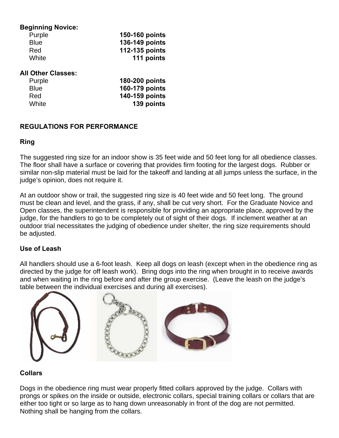#### **Beginning Novice:**

| Purple      | 150-160 points |
|-------------|----------------|
| <b>Blue</b> | 136-149 points |
| Red         | 112-135 points |
| White       | 111 points     |

#### **All Other Classes:**

| Purple      | 180-200 points |
|-------------|----------------|
| <b>Blue</b> | 160-179 points |
| Red         | 140-159 points |
| White       | 139 points     |

#### **REGULATIONS FOR PERFORMANCE**

#### **Ring**

The suggested ring size for an indoor show is 35 feet wide and 50 feet long for all obedience classes. The floor shall have a surface or covering that provides firm footing for the largest dogs. Rubber or similar non-slip material must be laid for the takeoff and landing at all jumps unless the surface, in the judge's opinion, does not require it.

At an outdoor show or trail, the suggested ring size is 40 feet wide and 50 feet long. The ground must be clean and level, and the grass, if any, shall be cut very short. For the Graduate Novice and Open classes, the superintendent is responsible for providing an appropriate place, approved by the judge, for the handlers to go to be completely out of sight of their dogs. If inclement weather at an outdoor trial necessitates the judging of obedience under shelter, the ring size requirements should be adjusted.

# **Use of Leash**

All handlers should use a 6-foot leash. Keep all dogs on leash (except when in the obedience ring as directed by the judge for off leash work). Bring dogs into the ring when brought in to receive awards and when waiting in the ring before and after the group exercise. (Leave the leash on the judge's table between the individual exercises and during all exercises).



# **Collars**

Dogs in the obedience ring must wear properly fitted collars approved by the judge. Collars with prongs or spikes on the inside or outside, electronic collars, special training collars or collars that are either too tight or so large as to hang down unreasonably in front of the dog are not permitted. Nothing shall be hanging from the collars.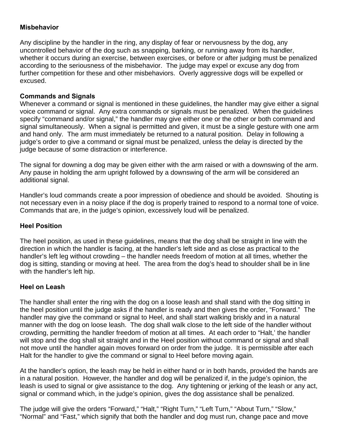# **Misbehavior**

Any discipline by the handler in the ring, any display of fear or nervousness by the dog, any uncontrolled behavior of the dog such as snapping, barking, or running away from its handler, whether it occurs during an exercise, between exercises, or before or after judging must be penalized according to the seriousness of the misbehavior. The judge may expel or excuse any dog from further competition for these and other misbehaviors. Overly aggressive dogs will be expelled or excused.

#### **Commands and Signals**

Whenever a command or signal is mentioned in these guidelines, the handler may give either a signal voice command or signal. Any extra commands or signals must be penalized. When the quidelines specify "command and/or signal," the handler may give either one or the other or both command and signal simultaneously. When a signal is permitted and given, it must be a single gesture with one arm and hand only. The arm must immediately be returned to a natural position. Delay in following a judge's order to give a command or signal must be penalized, unless the delay is directed by the judge because of some distraction or interference.

The signal for downing a dog may be given either with the arm raised or with a downswing of the arm. Any pause in holding the arm upright followed by a downswing of the arm will be considered an additional signal.

Handler's loud commands create a poor impression of obedience and should be avoided. Shouting is not necessary even in a noisy place if the dog is properly trained to respond to a normal tone of voice. Commands that are, in the judge's opinion, excessively loud will be penalized.

# **Heel Position**

The heel position, as used in these guidelines, means that the dog shall be straight in line with the direction in which the handler is facing, at the handler's left side and as close as practical to the handler's left leg without crowding – the handler needs freedom of motion at all times, whether the dog is sitting, standing or moving at heel. The area from the dog's head to shoulder shall be in line with the handler's left hip.

#### **Heel on Leash**

The handler shall enter the ring with the dog on a loose leash and shall stand with the dog sitting in the heel position until the judge asks if the handler is ready and then gives the order, "Forward." The handler may give the command or signal to Heel, and shall start walking briskly and in a natural manner with the dog on loose leash. The dog shall walk close to the left side of the handler without crowding, permitting the handler freedom of motion at all times. At each order to "Halt,' the handler will stop and the dog shall sit straight and in the Heel position without command or signal and shall not move until the handler again moves forward on order from the judge. It is permissible after each Halt for the handler to give the command or signal to Heel before moving again.

At the handler's option, the leash may be held in either hand or in both hands, provided the hands are in a natural position. However, the handler and dog will be penalized if, in the judge's opinion, the leash is used to signal or give assistance to the dog. Any tightening or jerking of the leash or any act, signal or command which, in the judge's opinion, gives the dog assistance shall be penalized.

The judge will give the orders "Forward," "Halt," "Right Turn," "Left Turn," "About Turn," "Slow," "Normal" and "Fast," which signify that both the handler and dog must run, change pace and move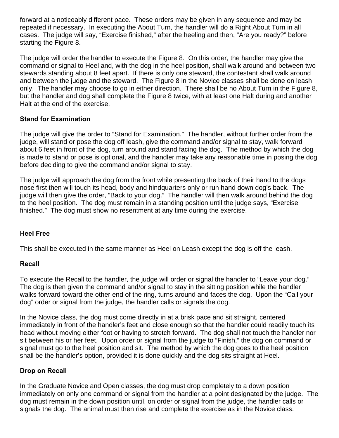forward at a noticeably different pace. These orders may be given in any sequence and may be repeated if necessary. In executing the About Turn, the handler will do a Right About Turn in all cases. The judge will say, "Exercise finished," after the heeling and then, "Are you ready?" before starting the Figure 8.

The judge will order the handler to execute the Figure 8. On this order, the handler may give the command or signal to Heel and, with the dog in the heel position, shall walk around and between two stewards standing about 8 feet apart. If there is only one steward, the contestant shall walk around and between the judge and the steward. The Figure 8 in the Novice classes shall be done on leash only. The handler may choose to go in either direction. There shall be no About Turn in the Figure 8, but the handler and dog shall complete the Figure 8 twice, with at least one Halt during and another Halt at the end of the exercise.

# **Stand for Examination**

The judge will give the order to "Stand for Examination." The handler, without further order from the judge, will stand or pose the dog off leash, give the command and/or signal to stay, walk forward about 6 feet in front of the dog, turn around and stand facing the dog. The method by which the dog is made to stand or pose is optional, and the handler may take any reasonable time in posing the dog before deciding to give the command and/or signal to stay.

The judge will approach the dog from the front while presenting the back of their hand to the dogs nose first then will touch its head, body and hindquarters only or run hand down dog's back. The judge will then give the order, "Back to your dog." The handler will then walk around behind the dog to the heel position. The dog must remain in a standing position until the judge says, "Exercise finished." The dog must show no resentment at any time during the exercise.

#### **Heel Free**

This shall be executed in the same manner as Heel on Leash except the dog is off the leash.

# **Recall**

To execute the Recall to the handler, the judge will order or signal the handler to "Leave your dog." The dog is then given the command and/or signal to stay in the sitting position while the handler walks forward toward the other end of the ring, turns around and faces the dog. Upon the "Call your dog" order or signal from the judge, the handler calls or signals the dog.

In the Novice class, the dog must come directly in at a brisk pace and sit straight, centered immediately in front of the handler's feet and close enough so that the handler could readily touch its head without moving either foot or having to stretch forward. The dog shall not touch the handler nor sit between his or her feet. Upon order or signal from the judge to "Finish," the dog on command or signal must go to the heel position and sit. The method by which the dog goes to the heel position shall be the handler's option, provided it is done quickly and the dog sits straight at Heel.

# **Drop on Recall**

In the Graduate Novice and Open classes, the dog must drop completely to a down position immediately on only one command or signal from the handler at a point designated by the judge. The dog must remain in the down position until, on order or signal from the judge, the handler calls or signals the dog. The animal must then rise and complete the exercise as in the Novice class.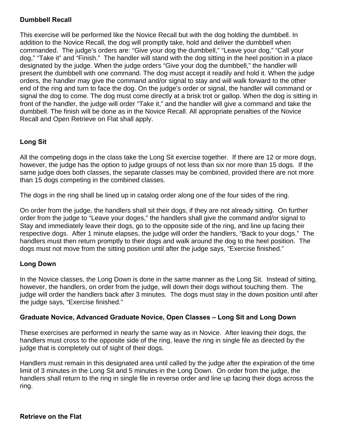# **Dumbbell Recall**

This exercise will be performed like the Novice Recall but with the dog holding the dumbbell. In addition to the Novice Recall, the dog will promptly take, hold and deliver the dumbbell when commanded. The judge's orders are: "Give your dog the dumbbell," "Leave your dog," "Call your dog," "Take it" and "Finish." The handler will stand with the dog sitting in the heel position in a place designated by the judge. When the judge orders "Give your dog the dumbbell," the handler will present the dumbbell with one command. The dog must accept it readily and hold it. When the judge orders, the handler may give the command and/or signal to stay and will walk forward to the other end of the ring and turn to face the dog. On the judge's order or signal, the handler will command or signal the dog to come. The dog must come directly at a brisk trot or gallop. When the dog is sitting in front of the handler, the judge will order "Take it," and the handler will give a command and take the dumbbell. The finish will be done as in the Novice Recall. All appropriate penalties of the Novice Recall and Open Retrieve on Flat shall apply.

# **Long Sit**

All the competing dogs in the class take the Long Sit exercise together. If there are 12 or more dogs, however, the judge has the option to judge groups of not less than six nor more than 15 dogs. If the same judge does both classes, the separate classes may be combined, provided there are not more than 15 dogs competing in the combined classes.

The dogs in the ring shall be lined up in catalog order along one of the four sides of the ring.

On order from the judge, the handlers shall sit their dogs, if they are not already sitting. On further order from the judge to "Leave your doges," the handlers shall give the command and/or signal to Stay and immediately leave their dogs, go to the opposite side of the ring, and line up facing their respective dogs. After 1 minute elapses, the judge will order the handlers, "Back to your dogs." The handlers must then return promptly to their dogs and walk around the dog to the heel position. The dogs must not move from the sitting position until after the judge says, "Exercise finished."

# **Long Down**

In the Novice classes, the Long Down is done in the same manner as the Long Sit. Instead of sitting, however, the handlers, on order from the judge, will down their dogs without touching them. The judge will order the handlers back after 3 minutes. The dogs must stay in the down position until after the judge says, "Exercise finished."

#### **Graduate Novice, Advanced Graduate Novice, Open Classes – Long Sit and Long Down**

These exercises are performed in nearly the same way as in Novice. After leaving their dogs, the handlers must cross to the opposite side of the ring, leave the ring in single file as directed by the judge that is completely out of sight of their dogs.

Handlers must remain in this designated area until called by the judge after the expiration of the time limit of 3 minutes in the Long Sit and 5 minutes in the Long Down. On order from the judge, the handlers shall return to the ring in single file in reverse order and line up facing their dogs across the ring.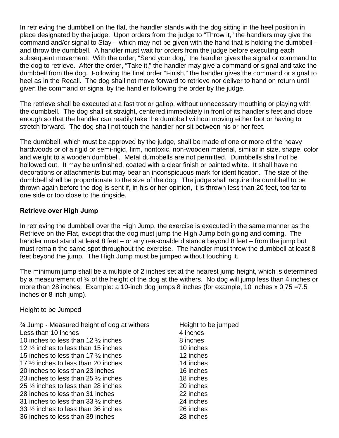In retrieving the dumbbell on the flat, the handler stands with the dog sitting in the heel position in place designated by the judge. Upon orders from the judge to "Throw it," the handlers may give the command and/or signal to Stay – which may not be given with the hand that is holding the dumbbell – and throw the dumbbell. A handler must wait for orders from the judge before executing each subsequent movement. With the order, "Send your dog," the handler gives the signal or command to the dog to retrieve. After the order, "Take it," the handler may give a command or signal and take the dumbbell from the dog. Following the final order "Finish," the handler gives the command or signal to heel as in the Recall. The dog shall not move forward to retrieve nor deliver to hand on return until given the command or signal by the handler following the order by the judge.

The retrieve shall be executed at a fast trot or gallop, without unnecessary mouthing or playing with the dumbbell. The dog shall sit straight, centered immediately in front of its handler's feet and close enough so that the handler can readily take the dumbbell without moving either foot or having to stretch forward. The dog shall not touch the handler nor sit between his or her feet.

The dumbbell, which must be approved by the judge, shall be made of one or more of the heavy hardwoods or of a rigid or semi-rigid, firm, nontoxic, non-wooden material, similar in size, shape, color and weight to a wooden dumbbell. Metal dumbbells are not permitted. Dumbbells shall not be hollowed out. It may be unfinished, coated with a clear finish or painted white. It shall have no decorations or attachments but may bear an inconspicuous mark for identification. The size of the dumbbell shall be proportionate to the size of the dog. The judge shall require the dumbbell to be thrown again before the dog is sent if, in his or her opinion, it is thrown less than 20 feet, too far to one side or too close to the ringside.

#### **Retrieve over High Jump**

In retrieving the dumbbell over the High Jump, the exercise is executed in the same manner as the Retrieve on the Flat, except that the dog must jump the High Jump both going and coming. The handler must stand at least 8 feet – or any reasonable distance beyond 8 feet – from the jump but must remain the same spot throughout the exercise. The handler must throw the dumbbell at least 8 feet beyond the jump. The High Jump must be jumped without touching it.

The minimum jump shall be a multiple of 2 inches set at the nearest jump height, which is determined by a measurement of ¾ of the height of the dog at the withers. No dog will jump less than 4 inches or more than 28 inches. Example: a 10-inch dog jumps 8 inches (for example, 10 inches x 0,75 = 7.5 inches or 8 inch jump).

Height to be Jumped

<sup>3</sup>/4 Jump - Measured height of dog at withers Height to be jumped Less than 10 inches 4 inches 10 inches to less than 12  $\frac{1}{2}$  inches 8 inches 12 ½ inches to less than 15 inches 10 inches 15 inches to less than 17  $\frac{1}{2}$  inches 12 inches 17 % inches to less than 20 inches 14 inches 20 inches to less than 23 inches 16 inches 23 inches to less than  $25\%$  inches 18 inches 25 ½ inches to less than 28 inches 20 inches 28 inches to less than 31 inches 22 inches 31 inches to less than 33 ½ inches 24 inches 33 ½ inches to less than 36 inches 26 inches 36 inches to less than 39 inches 28 inches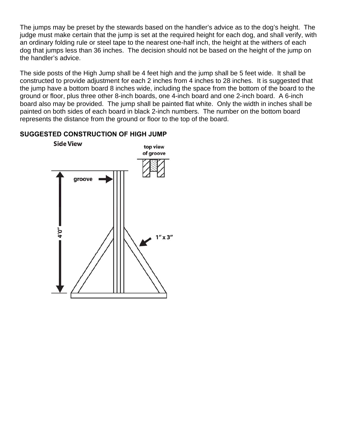The jumps may be preset by the stewards based on the handler's advice as to the dog's height. The judge must make certain that the jump is set at the required height for each dog, and shall verify, with an ordinary folding rule or steel tape to the nearest one-half inch, the height at the withers of each dog that jumps less than 36 inches. The decision should not be based on the height of the jump on the handler's advice.

The side posts of the High Jump shall be 4 feet high and the jump shall be 5 feet wide. It shall be constructed to provide adjustment for each 2 inches from 4 inches to 28 inches. It is suggested that the jump have a bottom board 8 inches wide, including the space from the bottom of the board to the ground or floor, plus three other 8-inch boards, one 4-inch board and one 2-inch board. A 6-inch board also may be provided. The jump shall be painted flat white. Only the width in inches shall be painted on both sides of each board in black 2-inch numbers. The number on the bottom board represents the distance from the ground or floor to the top of the board.

#### **SUGGESTED CONSTRUCTION OF HIGH JUMP**

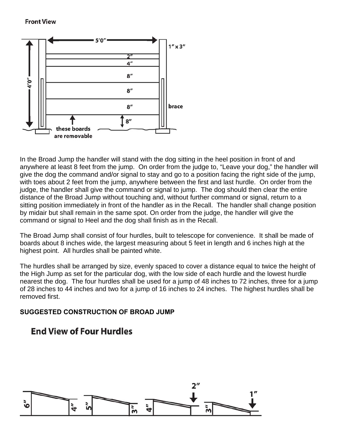#### **Front View**



In the Broad Jump the handler will stand with the dog sitting in the heel position in front of and anywhere at least 8 feet from the jump. On order from the judge to, "Leave your dog," the handler will give the dog the command and/or signal to stay and go to a position facing the right side of the jump, with toes about 2 feet from the jump, anywhere between the first and last hurdle. On order from the judge, the handler shall give the command or signal to jump. The dog should then clear the entire distance of the Broad Jump without touching and, without further command or signal, return to a sitting position immediately in front of the handler as in the Recall. The handler shall change position by midair but shall remain in the same spot. On order from the judge, the handler will give the command or signal to Heel and the dog shall finish as in the Recall.

The Broad Jump shall consist of four hurdles, built to telescope for convenience. It shall be made of boards about 8 inches wide, the largest measuring about 5 feet in length and 6 inches high at the highest point. All hurdles shall be painted white.

The hurdles shall be arranged by size, evenly spaced to cover a distance equal to twice the height of the High Jump as set for the particular dog, with the low side of each hurdle and the lowest hurdle nearest the dog. The four hurdles shall be used for a jump of 48 inches to 72 inches, three for a jump of 28 inches to 44 inches and two for a jump of 16 inches to 24 inches. The highest hurdles shall be removed first.

# **SUGGESTED CONSTRUCTION OF BROAD JUMP**

# **End View of Four Hurdles**

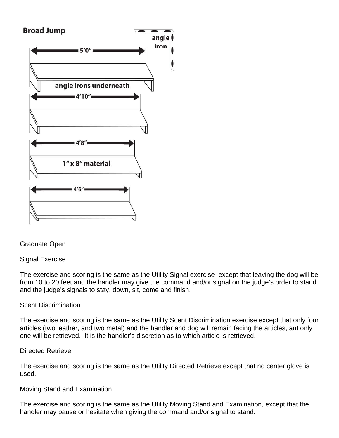

Graduate Open

# Signal Exercise

The exercise and scoring is the same as the Utility Signal exercise except that leaving the dog will be from 10 to 20 feet and the handler may give the command and/or signal on the judge's order to stand and the judge's signals to stay, down, sit, come and finish.

# Scent Discrimination

The exercise and scoring is the same as the Utility Scent Discrimination exercise except that only four articles (two leather, and two metal) and the handler and dog will remain facing the articles, ant only one will be retrieved. It is the handler's discretion as to which article is retrieved.

#### Directed Retrieve

The exercise and scoring is the same as the Utility Directed Retrieve except that no center glove is used.

#### Moving Stand and Examination

The exercise and scoring is the same as the Utility Moving Stand and Examination, except that the handler may pause or hesitate when giving the command and/or signal to stand.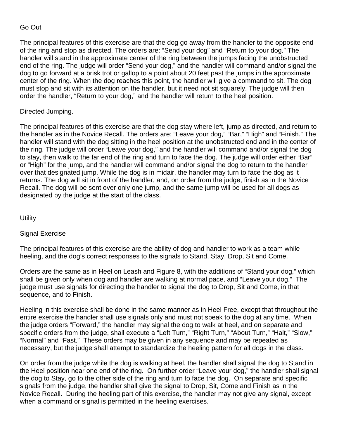# Go Out

The principal features of this exercise are that the dog go away from the handler to the opposite end of the ring and stop as directed. The orders are: "Send your dog" and "Return to your dog." The handler will stand in the approximate center of the ring between the jumps facing the unobstructed end of the ring. The judge will order "Send your dog," and the handler will command and/or signal the dog to go forward at a brisk trot or gallop to a point about 20 feet past the jumps in the approximate center of the ring. When the dog reaches this point, the handler will give a command to sit. The dog must stop and sit with its attention on the handler, but it need not sit squarely. The judge will then order the handler, "Return to your dog," and the handler will return to the heel position.

#### Directed Jumping.

The principal features of this exercise are that the dog stay where left, jump as directed, and return to the handler as in the Novice Recall. The orders are: "Leave your dog," "Bar," "High" and "Finish." The handler will stand with the dog sitting in the heel position at the unobstructed end and in the center of the ring. The judge will order "Leave your dog," and the handler will command and/or signal the dog to stay, then walk to the far end of the ring and turn to face the dog. The judge will order either "Bar" or "High" for the jump, and the handler will command and/or signal the dog to return to the handler over that designated jump. While the dog is in midair, the handler may turn to face the dog as it returns. The dog will sit in front of the handler, and, on order from the judge, finish as in the Novice Recall. The dog will be sent over only one jump, and the same jump will be used for all dogs as designated by the judge at the start of the class.

**Utility** 

#### Signal Exercise

The principal features of this exercise are the ability of dog and handler to work as a team while heeling, and the dog's correct responses to the signals to Stand, Stay, Drop, Sit and Come.

Orders are the same as in Heel on Leash and Figure 8, with the additions of "Stand your dog," which shall be given only when dog and handler are walking at normal pace, and "Leave your dog." The judge must use signals for directing the handler to signal the dog to Drop, Sit and Come, in that sequence, and to Finish.

Heeling in this exercise shall be done in the same manner as in Heel Free, except that throughout the entire exercise the handler shall use signals only and must not speak to the dog at any time. When the judge orders "Forward," the handler may signal the dog to walk at heel, and on separate and specific orders from the judge, shall execute a "Left Turn," "Right Turn," "About Turn," "Halt," "Slow," "Normal" and "Fast." These orders may be given in any sequence and may be repeated as necessary, but the judge shall attempt to standardize the heeling pattern for all dogs in the class.

On order from the judge while the dog is walking at heel, the handler shall signal the dog to Stand in the Heel position near one end of the ring. On further order "Leave your dog," the handler shall signal the dog to Stay, go to the other side of the ring and turn to face the dog. On separate and specific signals from the judge, the handler shall give the signal to Drop, Sit, Come and Finish as in the Novice Recall. During the heeling part of this exercise, the handler may not give any signal, except when a command or signal is permitted in the heeling exercises.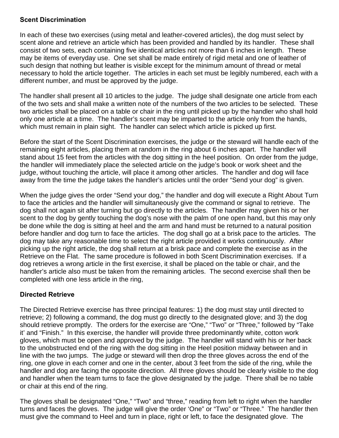# **Scent Discrimination**

In each of these two exercises (using metal and leather-covered articles), the dog must select by scent alone and retrieve an article which has been provided and handled by its handler. These shall consist of two sets, each containing five identical articles not more than 6 inches in length. These may be items of everyday use. One set shall be made entirely of rigid metal and one of leather of such design that nothing but leather is visible except for the minimum amount of thread or metal necessary to hold the article together. The articles in each set must be legibly numbered, each with a different number, and must be approved by the judge.

The handler shall present all 10 articles to the judge. The judge shall designate one article from each of the two sets and shall make a written note of the numbers of the two articles to be selected. These two articles shall be placed on a table or chair in the ring until picked up by the handler who shall hold only one article at a time. The handler's scent may be imparted to the article only from the hands, which must remain in plain sight. The handler can select which article is picked up first.

Before the start of the Scent Discrimination exercises, the judge or the steward will handle each of the remaining eight articles, placing them at random in the ring about 6 inches apart. The handler will stand about 15 feet from the articles with the dog sitting in the heel position. On order from the judge, the handler will immediately place the selected article on the judge's book or work sheet and the judge, without touching the article, will place it among other articles. The handler and dog will face away from the time the judge takes the handler's articles until the order "Send your dog" is given.

When the judge gives the order "Send your dog," the handler and dog will execute a Right About Turn to face the articles and the handler will simultaneously give the command or signal to retrieve. The dog shall not again sit after turning but go directly to the articles. The handler may given his or her scent to the dog by gently touching the dog's nose with the palm of one open hand, but this may only be done while the dog is sitting at heel and the arm and hand must be returned to a natural position before handler and dog turn to face the articles. The dog shall go at a brisk pace to the articles. The dog may take any reasonable time to select the right article provided it works continuously. After picking up the right article, the dog shall return at a brisk pace and complete the exercise as in the Retrieve on the Flat. The same procedure is followed in both Scent Discrimination exercises. If a dog retrieves a wrong article in the first exercise, it shall be placed on the table or chair, and the handler's article also must be taken from the remaining articles. The second exercise shall then be completed with one less article in the ring,

# **Directed Retrieve**

The Directed Retrieve exercise has three principal features: 1) the dog must stay until directed to retrieve; 2) following a command, the dog must go directly to the designated glove; and 3) the dog should retrieve promptly. The orders for the exercise are "One," "Two" or "Three," followed by "Take it' and "Finish." In this exercise, the handler will provide three predominantly white, cotton work gloves, which must be open and approved by the judge. The handler will stand with his or her back to the unobstructed end of the ring with the dog sitting in the Heel position midway between and in line with the two jumps. The judge or steward will then drop the three gloves across the end of the ring, one glove in each corner and one in the center, about 3 feet from the side of the ring, while the handler and dog are facing the opposite direction. All three gloves should be clearly visible to the dog and handler when the team turns to face the glove designated by the judge. There shall be no table or chair at this end of the ring.

The gloves shall be designated "One," "Two" and "three," reading from left to right when the handler turns and faces the gloves. The judge will give the order 'One" or "Two" or "Three." The handler then must give the command to Heel and turn in place, right or left, to face the designated glove. The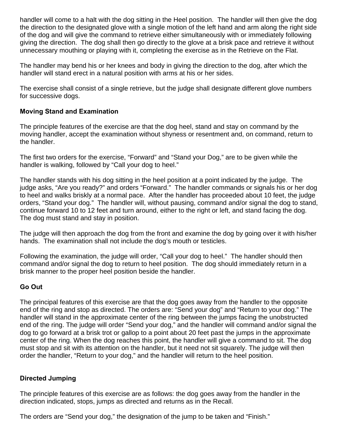handler will come to a halt with the dog sitting in the Heel position. The handler will then give the dog the direction to the designated glove with a single motion of the left hand and arm along the right side of the dog and will give the command to retrieve either simultaneously with or immediately following giving the direction. The dog shall then go directly to the glove at a brisk pace and retrieve it without unnecessary mouthing or playing with it, completing the exercise as in the Retrieve on the Flat.

The handler may bend his or her knees and body in giving the direction to the dog, after which the handler will stand erect in a natural position with arms at his or her sides.

The exercise shall consist of a single retrieve, but the judge shall designate different glove numbers for successive dogs.

#### **Moving Stand and Examination**

The principle features of the exercise are that the dog heel, stand and stay on command by the moving handler, accept the examination without shyness or resentment and, on command, return to the handler.

The first two orders for the exercise, "Forward" and "Stand your Dog," are to be given while the handler is walking, followed by "Call your dog to heel."

The handler stands with his dog sitting in the heel position at a point indicated by the judge. The judge asks, "Are you ready?" and orders "Forward." The handler commands or signals his or her dog to heel and walks briskly at a normal pace. After the handler has proceeded about 10 feet, the judge orders, "Stand your dog." The handler will, without pausing, command and/or signal the dog to stand, continue forward 10 to 12 feet and turn around, either to the right or left, and stand facing the dog. The dog must stand and stay in position.

The judge will then approach the dog from the front and examine the dog by going over it with his/her hands. The examination shall not include the dog's mouth or testicles.

Following the examination, the judge will order, "Call your dog to heel." The handler should then command and/or signal the dog to return to heel position. The dog should immediately return in a brisk manner to the proper heel position beside the handler.

# **Go Out**

The principal features of this exercise are that the dog goes away from the handler to the opposite end of the ring and stop as directed. The orders are: "Send your dog" and "Return to your dog." The handler will stand in the approximate center of the ring between the jumps facing the unobstructed end of the ring. The judge will order "Send your dog," and the handler will command and/or signal the dog to go forward at a brisk trot or gallop to a point about 20 feet past the jumps in the approximate center of the ring. When the dog reaches this point, the handler will give a command to sit. The dog must stop and sit with its attention on the handler, but it need not sit squarely. The judge will then order the handler, "Return to your dog," and the handler will return to the heel position.

#### **Directed Jumping**

The principle features of this exercise are as follows: the dog goes away from the handler in the direction indicated, stops, jumps as directed and returns as in the Recall.

The orders are "Send your dog," the designation of the jump to be taken and "Finish."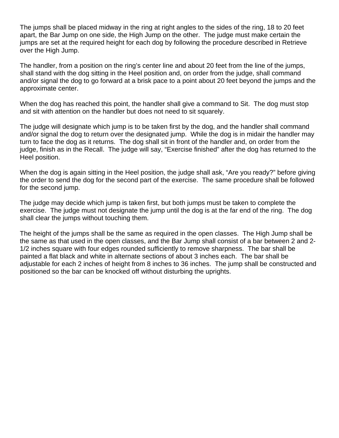The jumps shall be placed midway in the ring at right angles to the sides of the ring, 18 to 20 feet apart, the Bar Jump on one side, the High Jump on the other. The judge must make certain the jumps are set at the required height for each dog by following the procedure described in Retrieve over the High Jump.

The handler, from a position on the ring's center line and about 20 feet from the line of the jumps, shall stand with the dog sitting in the Heel position and, on order from the judge, shall command and/or signal the dog to go forward at a brisk pace to a point about 20 feet beyond the jumps and the approximate center.

When the dog has reached this point, the handler shall give a command to Sit. The dog must stop and sit with attention on the handler but does not need to sit squarely.

The judge will designate which jump is to be taken first by the dog, and the handler shall command and/or signal the dog to return over the designated jump. While the dog is in midair the handler may turn to face the dog as it returns. The dog shall sit in front of the handler and, on order from the judge, finish as in the Recall. The judge will say, "Exercise finished" after the dog has returned to the Heel position.

When the dog is again sitting in the Heel position, the judge shall ask, "Are you ready?" before giving the order to send the dog for the second part of the exercise. The same procedure shall be followed for the second jump.

The judge may decide which jump is taken first, but both jumps must be taken to complete the exercise. The judge must not designate the jump until the dog is at the far end of the ring. The dog shall clear the jumps without touching them.

The height of the jumps shall be the same as required in the open classes. The High Jump shall be the same as that used in the open classes, and the Bar Jump shall consist of a bar between 2 and 2- 1/2 inches square with four edges rounded sufficiently to remove sharpness. The bar shall be painted a flat black and white in alternate sections of about 3 inches each. The bar shall be adjustable for each 2 inches of height from 8 inches to 36 inches. The jump shall be constructed and positioned so the bar can be knocked off without disturbing the uprights.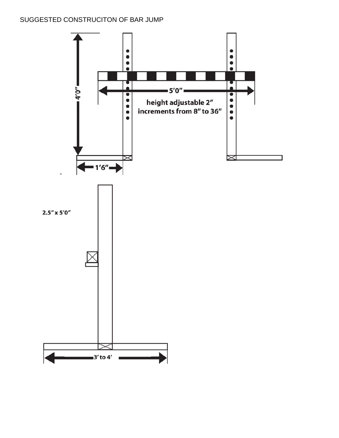# SUGGESTED CONSTRUCITON OF BAR JUMP

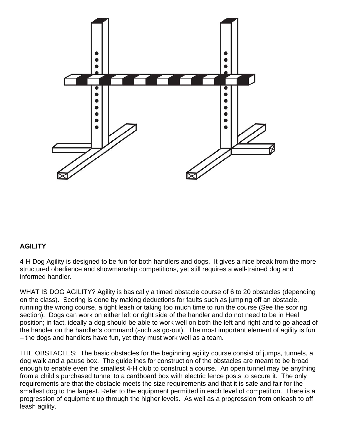

# **AGILITY**

4-H Dog Agility is designed to be fun for both handlers and dogs. It gives a nice break from the more structured obedience and showmanship competitions, yet still requires a well-trained dog and informed handler.

WHAT IS DOG AGILITY? Agility is basically a timed obstacle course of 6 to 20 obstacles (depending on the class). Scoring is done by making deductions for faults such as jumping off an obstacle, running the wrong course, a tight leash or taking too much time to run the course (See the scoring section). Dogs can work on either left or right side of the handler and do not need to be in Heel position; in fact, ideally a dog should be able to work well on both the left and right and to go ahead of the handler on the handler's command (such as go-out). The most important element of agility is fun – the dogs and handlers have fun, yet they must work well as a team.

THE OBSTACLES: The basic obstacles for the beginning agility course consist of jumps, tunnels, a dog walk and a pause box. The guidelines for construction of the obstacles are meant to be broad enough to enable even the smallest 4-H club to construct a course. An open tunnel may be anything from a child's purchased tunnel to a cardboard box with electric fence posts to secure it. The only requirements are that the obstacle meets the size requirements and that it is safe and fair for the smallest dog to the largest. Refer to the equipment permitted in each level of competition. There is a progression of equipment up through the higher levels. As well as a progression from onleash to off leash agility.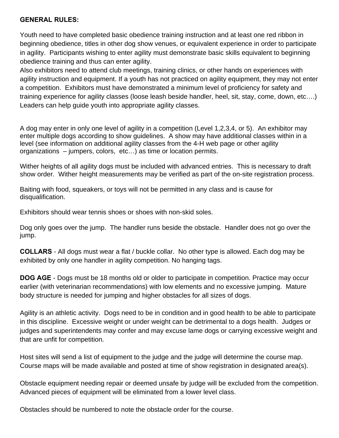#### **GENERAL RULES:**

Youth need to have completed basic obedience training instruction and at least one red ribbon in beginning obedience, titles in other dog show venues, or equivalent experience in order to participate in agility. Participants wishing to enter agility must demonstrate basic skills equivalent to beginning obedience training and thus can enter agility.

Also exhibitors need to attend club meetings, training clinics, or other hands on experiences with agility instruction and equipment. If a youth has not practiced on agility equipment, they may not enter a competition. Exhibitors must have demonstrated a minimum level of proficiency for safety and training experience for agility classes (loose leash beside handler, heel, sit, stay, come, down, etc….) Leaders can help guide youth into appropriate agility classes.

A dog may enter in only one level of agility in a competition (Level 1,2,3,4, or 5). An exhibitor may enter multiple dogs according to show guidelines. A show may have additional classes within in a level (see information on additional agility classes from the 4-H web page or other agility organizations – jumpers, colors, etc…) as time or location permits.

Wither heights of all agility dogs must be included with advanced entries. This is necessary to draft show order. Wither height measurements may be verified as part of the on-site registration process.

Baiting with food, squeakers, or toys will not be permitted in any class and is cause for disqualification.

Exhibitors should wear tennis shoes or shoes with non-skid soles.

Dog only goes over the jump. The handler runs beside the obstacle. Handler does not go over the jump.

**COLLARS** - All dogs must wear a flat / buckle collar. No other type is allowed. Each dog may be exhibited by only one handler in agility competition. No hanging tags.

**DOG AGE** - Dogs must be 18 months old or older to participate in competition. Practice may occur earlier (with veterinarian recommendations) with low elements and no excessive jumping. Mature body structure is needed for jumping and higher obstacles for all sizes of dogs.

Agility is an athletic activity. Dogs need to be in condition and in good health to be able to participate in this discipline. Excessive weight or under weight can be detrimental to a dogs health. Judges or judges and superintendents may confer and may excuse lame dogs or carrying excessive weight and that are unfit for competition.

Host sites will send a list of equipment to the judge and the judge will determine the course map. Course maps will be made available and posted at time of show registration in designated area(s).

Obstacle equipment needing repair or deemed unsafe by judge will be excluded from the competition. Advanced pieces of equipment will be eliminated from a lower level class.

Obstacles should be numbered to note the obstacle order for the course.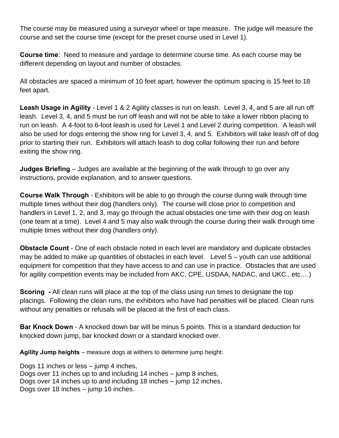The course may be measured using a surveyor wheel or tape measure. The judge will measure the course and set the course time (except for the preset course used in Level 1).

**Course time**: Need to measure and yardage to determine course time. As each course may be different depending on layout and number of obstacles.

All obstacles are spaced a minimum of 10 feet apart, however the optimum spacing is 15 feet to 18 feet apart.

**Leash Usage in Agility** - Level 1 & 2 Agility classes is run on leash. Level 3, 4, and 5 are all run off leash. Level 3, 4, and 5 must be run off leash and will not be able to take a lower ribbon placing to run on leash. A 4-foot to 6-foot leash is used for Level 1 and Level 2 during competition. A leash will also be used for dogs entering the show ring for Level 3, 4, and 5. Exhibitors will take leash off of dog prior to starting their run. Exhibitors will attach leash to dog collar following their run and before exiting the show ring.

**Judges Briefing** – Judges are available at the beginning of the walk through to go over any instructions, provide explanation, and to answer questions.

**Course Walk Through** - Exhibitors will be able to go through the course during walk through time multiple times without their dog (handlers only). The course will close prior to competition and handlers in Level 1, 2, and 3, may go through the actual obstacles one time with their dog on leash (one team at a time). Level 4 and 5 may also walk through the course during their walk through time multiple times without their dog (handlers only).

**Obstacle Count** - One of each obstacle noted in each level are mandatory and duplicate obstacles may be added to make up quantities of obstacles in each level. Level  $5 -$  youth can use additional equipment for competition that they have access to and can use in practice. Obstacles that are used for agility competition events may be included from AKC, CPE, USDAA, NADAC, and UKC., etc….)

**Scoring** - All clean runs will place at the top of the class using run times to designate the top placings. Following the clean runs, the exhibitors who have had penalties will be placed. Clean runs without any penalties or refusals will be placed at the first of each class.

**Bar Knock Down** - A knocked down bar will be minus 5 points. This is a standard deduction for knocked down jump, bar knocked down or a standard knocked over.

**Agility Jump heights** – measure dogs at withers to determine jump height:

Dogs 11 inches or less – jump 4 inches, Dogs over 11 inches up to and including 14 inches – jump 8 inches, Dogs over 14 inches up to and including 18 inches – jump 12 inches, Dogs over 18 inches – jump 16 inches.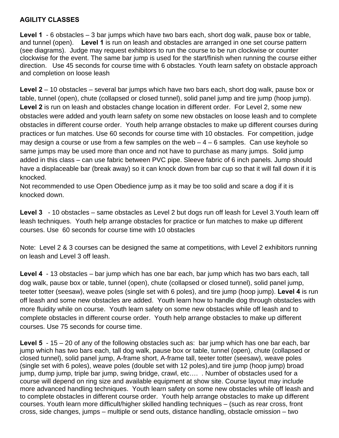# **AGILITY CLASSES**

**Level 1** - 6 obstacles – 3 bar jumps which have two bars each, short dog walk, pause box or table, and tunnel (open). **Level 1** is run on leash and obstacles are arranged in one set course pattern (see diagrams). Judge may request exhibitors to run the course to be run clockwise or counter clockwise for the event. The same bar jump is used for the start/finish when running the course either direction. Use 45 seconds for course time with 6 obstacles. Youth learn safety on obstacle approach and completion on loose leash

**Level 2** – 10 obstacles – several bar jumps which have two bars each, short dog walk, pause box or table, tunnel (open), chute (collapsed or closed tunnel), solid panel jump and tire jump (hoop jump). **Level 2** is run on leash and obstacles change location in different order. For Level 2, some new obstacles were added and youth learn safety on some new obstacles on loose leash and to complete obstacles in different course order. Youth help arrange obstacles to make up different courses during practices or fun matches. Use 60 seconds for course time with 10 obstacles. For competition, judge may design a course or use from a few samples on the web  $-4 - 6$  samples. Can use keyhole so same jumps may be used more than once and not have to purchase as many jumps. Solid jump added in this class – can use fabric between PVC pipe. Sleeve fabric of 6 inch panels. Jump should have a displaceable bar (break away) so it can knock down from bar cup so that it will fall down if it is knocked.

Not recommended to use Open Obedience jump as it may be too solid and scare a dog if it is knocked down.

**Level 3** - 10 obstacles – same obstacles as Level 2 but dogs run off leash for Level 3.Youth learn off leash techniques. Youth help arrange obstacles for practice or fun matches to make up different courses. Use 60 seconds for course time with 10 obstacles

Note: Level 2 & 3 courses can be designed the same at competitions, with Level 2 exhibitors running on leash and Level 3 off leash.

**Level 4** - 13 obstacles – bar jump which has one bar each, bar jump which has two bars each, tall dog walk, pause box or table, tunnel (open), chute (collapsed or closed tunnel), solid panel jump, teeter totter (seesaw), weave poles (single set with 6 poles), and tire jump (hoop jump). **Level 4** is run off leash and some new obstacles are added. Youth learn how to handle dog through obstacles with more fluidity while on course. Youth learn safety on some new obstacles while off leash and to complete obstacles in different course order. Youth help arrange obstacles to make up different courses. Use 75 seconds for course time.

**Level 5** - 15 – 20 of any of the following obstacles such as: bar jump which has one bar each, bar jump which has two bars each, tall dog walk, pause box or table, tunnel (open), chute (collapsed or closed tunnel), solid panel jump, A-frame short, A-frame tall, teeter totter (seesaw), weave poles (single set with 6 poles), weave poles (double set with 12 poles),and tire jump (hoop jump) broad jump, dump jump, triple bar jump, swing bridge, crawl, etc…. . Number of obstacles used for a course will depend on ring size and available equipment at show site. Course layout may include more advanced handling techniques. Youth learn safety on some new obstacles while off leash and to complete obstacles in different course order. Youth help arrange obstacles to make up different courses. Youth learn more difficult/higher skilled handling techniques – (such as rear cross, front cross, side changes, jumps – multiple or send outs, distance handling, obstacle omission – two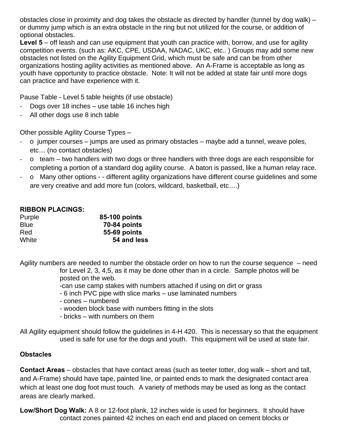obstacles close in proximity and dog takes the obstacle as directed by handler (tunnel by dog walk) – or dummy jump which is an extra obstacle in the ring but not utilized for the course, or addition of optional obstacles.

**Level 5** – off leash and can use equipment that youth can practice with, borrow, and use for agility competition events. (such as: AKC, CPE, USDAA, NADAC, UKC, etc.. ) Groups may add some new obstacles not listed on the Agility Equipment Grid, which must be safe and can be from other organizations hosting agility activities as mentioned above. An A-Frame is acceptable as long as youth have opportunity to practice obstacle. Note: It will not be added at state fair until more dogs can practice and have experience with it.

Pause Table - Level 5 table heights (if use obstacle)

- ‐ Dogs over 18 inches use table 16 inches high
- ‐ All other dogs use 8 inch table

Other possible Agility Course Types –

- ‐ o jumper courses jumps are used as primary obstacles maybe add a tunnel, weave poles, etc… (no contact obstacles)
- ‐ o team two handlers with two dogs or three handlers with three dogs are each responsible for completing a portion of a standard dog agility course. A baton is passed, like a human relay race.
- ‐ o Many other options - different agility organizations have different course guidelines and some are very creative and add more fun (colors, wildcard, basketball, etc….)

#### **RIBBON PLACINGS:**

| Purple      | 85-100 points |
|-------------|---------------|
| <b>Blue</b> | 70-84 points  |
| Red         | 55-69 points  |
| White       | 54 and less   |

Agility numbers are needed to number the obstacle order on how to run the course sequence – need for Level 2, 3, 4,5, as it may be done other than in a circle. Sample photos will be posted on the web.

-can use camp stakes with numbers attached if using on dirt or grass

- 6 inch PVC pipe with slice marks use laminated numbers
- cones numbered
- wooden block base with numbers fitting in the slots
- bricks with numbers on them

All Agility equipment should follow the guidelines in 4-H 420. This is necessary so that the equipment used is safe for use for the dogs and youth. This equipment will be used at state fair.

# **Obstacles**

**Contact Areas** – obstacles that have contact areas (such as teeter totter, dog walk – short and tall, and A-Frame) should have tape, painted line, or painted ends to mark the designated contact area which at least one dog foot must touch. A variety of methods may be used as long as the contact areas are clearly marked.

**Low/Short Dog Walk:** A 8 or 12-foot plank, 12 inches wide is used for beginners. It should have contact zones painted 42 inches on each end and placed on cement blocks or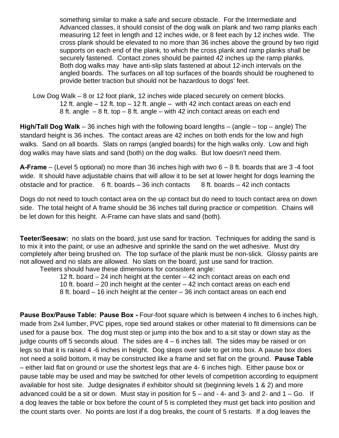something similar to make a safe and secure obstacle. For the Intermediate and Advanced classes, it should consist of the dog walk on plank and two ramp planks each measuring 12 feet in length and 12 inches wide, or 8 feet each by 12 inches wide. The cross plank should be elevated to no more than 36 inches above the ground by two rigid supports on each end of the plank, to which the cross plank and ramp planks shall be securely fastened. Contact zones should be painted 42 inches up the ramp planks. Both dog walks may have anti-slip slats fastened at about 12-inch intervals on the angled boards. The surfaces on all top surfaces of the boards should be roughened to provide better traction but should not be hazardous to dogs' feet.

 Low Dog Walk – 8 or 12 foot plank, 12 inches wide placed securely on cement blocks. 12 ft. angle – 12 ft. top – 12 ft. angle – with 42 inch contact areas on each end 8 ft. angle – 8 ft. top – 8 ft. angle – with 42 inch contact areas on each end

**High/Tall Dog Walk** – 36 inches high with the following board lengths – (angle – top – angle) The standard height is 36 inches. The contact areas are 42 inches on both ends for the low and high walks. Sand on all boards. Slats on ramps (angled boards) for the high walks only. Low and high dog walks may have slats and sand (both) on the dog walks. But low doesn't need them.

**A-Frame** – (Level 5 optional) no more than 36 inches high with two 6 – 8 ft. boards that are 3 -4 foot wide. It should have adjustable chains that will allow it to be set at lower height for dogs learning the obstacle and for practice. 6 ft. boards  $-36$  inch contacts 8 ft. boards  $-42$  inch contacts

Dogs do not need to touch contact area on the up contact but do need to touch contact area on down side. The total height of A frame should be 36 inches tall during practice or competition. Chains will be let down for this height. A-Frame can have slats and sand (both).

**Teeter/Seesaw:** no slats on the board, just use sand for traction.Techniques for adding the sand is to mix it into the paint, or use an adhesive and sprinkle the sand on the wet adhesive. Must dry completely after being brushed on. The top surface of the plank must be non-slick. Glossy paints are not allowed and no slats are allowed. No slats on the board, just use sand for traction. Teeters should have these dimensions for consistent angle:

> 12 ft. board – 24 inch height at the center – 42 inch contact areas on each end 10 ft. board – 20 inch height at the center – 42 inch contact areas on each end 8 ft. board – 16 inch height at the center – 36 inch contact areas on each end

**Pause Box/Pause Table: Pause Box -** Four-foot square which is between 4 inches to 6 inches high, made from 2x4 lumber, PVC pipes, rope tied around stakes or other material to fit dimensions can be used for a pause box. The dog must step or jump into the box and to a sit stay or down stay as the judge counts off 5 seconds aloud. The sides are  $4 - 6$  inches tall. The sides may be raised or on legs so that it is raised 4 -6 inches in height. Dog steps over side to get into box. A pause box does not need a solid bottom, it may be constructed like a frame and set flat on the ground. **Pause Table** – either laid flat on ground or use the shortest legs that are 4- 6 inches high. Either pause box or pause table may be used and may be switched for other levels of competition according to equipment available for host site. Judge designates if exhibitor should sit (beginning levels 1 & 2) and more advanced could be a sit or down. Must stay in position for  $5 -$  and  $-$  4- and  $3 -$  and  $2 -$  and  $1 -$  Go. If a dog leaves the table or box before the count of 5 is completed they must get back into position and the count starts over. No points are lost if a dog breaks, the count of 5 restarts. If a dog leaves the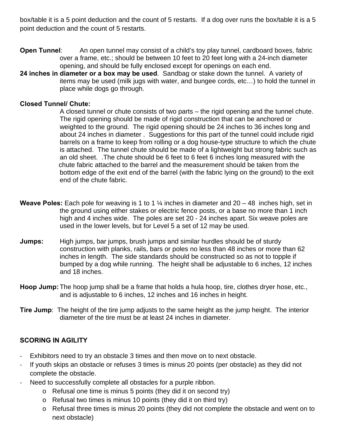box/table it is a 5 point deduction and the count of 5 restarts. If a dog over runs the box/table it is a 5 point deduction and the count of 5 restarts.

- **Open Tunnel:** An open tunnel may consist of a child's toy play tunnel, cardboard boxes, fabric over a frame, etc.; should be between 10 feet to 20 feet long with a 24-inch diameter opening, and should be fully enclosed except for openings on each end.
- **24 inches in diameter or a box may be used**. Sandbag or stake down the tunnel. A variety of items may be used (milk jugs with water, and bungee cords, etc…) to hold the tunnel in place while dogs go through.

#### **Closed Tunnel/ Chute:**

A closed tunnel or chute consists of two parts – the rigid opening and the tunnel chute. The rigid opening should be made of rigid construction that can be anchored or weighted to the ground. The rigid opening should be 24 inches to 36 inches long and about 24 inches in diameter . Suggestions for this part of the tunnel could include rigid barrels on a frame to keep from rolling or a dog house-type structure to which the chute is attached. The tunnel chute should be made of a lightweight but strong fabric such as an old sheet. .The chute should be 6 feet to 6 feet 6 inches long measured with the chute fabric attached to the barrel and the measurement should be taken from the bottom edge of the exit end of the barrel (with the fabric lying on the ground) to the exit end of the chute fabric.

- **Weave Poles:** Each pole for weaving is 1 to 1 ¼ inches in diameter and 20 48 inches high, set in the ground using either stakes or electric fence posts, or a base no more than 1 inch high and 4 inches wide. The poles are set 20 - 24 inches apart. Six weave poles are used in the lower levels, but for Level 5 a set of 12 may be used.
- **Jumps:** High jumps, bar jumps, brush jumps and similar hurdles should be of sturdy construction with planks, rails, bars or poles no less than 48 inches or more than 62 inches in length. The side standards should be constructed so as not to topple if bumped by a dog while running. The height shall be adjustable to 6 inches, 12 inches and 18 inches.
- **Hoop Jump:** The hoop jump shall be a frame that holds a hula hoop, tire, clothes dryer hose, etc., and is adjustable to 6 inches, 12 inches and 16 inches in height.
- **Tire Jump**: The height of the tire jump adjusts to the same height as the jump height. The interior diameter of the tire must be at least 24 inches in diameter.

# **SCORING IN AGILITY**

- ‐ Exhibitors need to try an obstacle 3 times and then move on to next obstacle.
- If youth skips an obstacle or refuses 3 times is minus 20 points (per obstacle) as they did not complete the obstacle.
- Need to successfully complete all obstacles for a purple ribbon.
	- o Refusal one time is minus 5 points (they did it on second try)
	- o Refusal two times is minus 10 points (they did it on third try)
	- o Refusal three times is minus 20 points (they did not complete the obstacle and went on to next obstacle)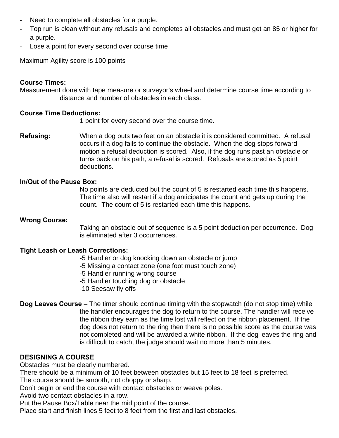- ‐ Need to complete all obstacles for a purple.
- ‐ Top run is clean without any refusals and completes all obstacles and must get an 85 or higher for a purple.
- Lose a point for every second over course time

Maximum Agility score is 100 points

#### **Course Times:**

Measurement done with tape measure or surveyor's wheel and determine course time according to distance and number of obstacles in each class.

#### **Course Time Deductions:**

1 point for every second over the course time.

**Refusing:** When a dog puts two feet on an obstacle it is considered committed. A refusal occurs if a dog fails to continue the obstacle. When the dog stops forward motion a refusal deduction is scored. Also, if the dog runs past an obstacle or turns back on his path, a refusal is scored. Refusals are scored as 5 point deductions.

#### **In/Out of the Pause Box:**

 No points are deducted but the count of 5 is restarted each time this happens. The time also will restart if a dog anticipates the count and gets up during the count. The count of 5 is restarted each time this happens.

#### **Wrong Course:**

Taking an obstacle out of sequence is a 5 point deduction per occurrence. Dog is eliminated after 3 occurrences.

#### **Tight Leash or Leash Corrections:**

- -5 Handler or dog knocking down an obstacle or jump
- -5 Missing a contact zone (one foot must touch zone)
- -5 Handler running wrong course
- -5 Handler touching dog or obstacle
- -10 Seesaw fly offs
- **Dog Leaves Course** The timer should continue timing with the stopwatch (do not stop time) while the handler encourages the dog to return to the course. The handler will receive the ribbon they earn as the time lost will reflect on the ribbon placement. If the dog does not return to the ring then there is no possible score as the course was not completed and will be awarded a white ribbon. If the dog leaves the ring and is difficult to catch, the judge should wait no more than 5 minutes.

# **DESIGNING A COURSE**

Obstacles must be clearly numbered.

There should be a minimum of 10 feet between obstacles but 15 feet to 18 feet is preferred. The course should be smooth, not choppy or sharp.

Don't begin or end the course with contact obstacles or weave poles.

Avoid two contact obstacles in a row.

Put the Pause Box/Table near the mid point of the course.

Place start and finish lines 5 feet to 8 feet from the first and last obstacles.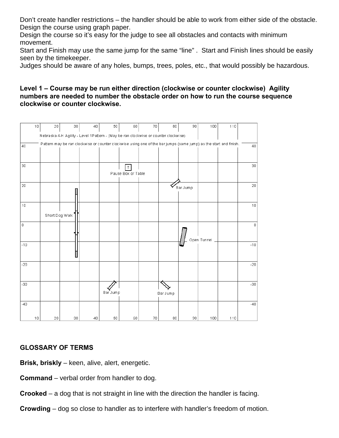Don't create handler restrictions – the handler should be able to work from either side of the obstacle. Design the course using graph paper.

Design the course so it's easy for the judge to see all obstacles and contacts with minimum movement.

Start and Finish may use the same jump for the same "line" . Start and Finish lines should be easily seen by the timekeeper.

Judges should be aware of any holes, bumps, trees, poles, etc., that would possibly be hazardous.

#### **Level 1 – Course may be run either direction (clockwise or counter clockwise) Agility numbers are needed to number the obstacle order on how to run the course sequence clockwise or counter clockwise.**



# **GLOSSARY OF TERMS**

**Brisk, briskly** – keen, alive, alert, energetic.

- **Command** verbal order from handler to dog.
- **Crooked** a dog that is not straight in line with the direction the handler is facing.
- **Crowding** dog so close to handler as to interfere with handler's freedom of motion.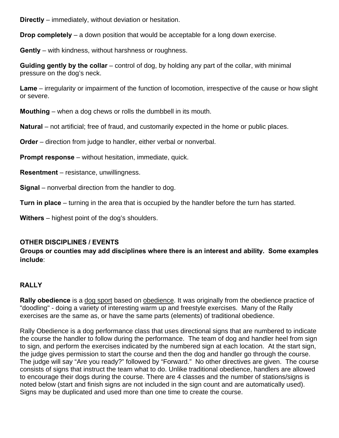**Directly** – immediately, without deviation or hesitation.

**Drop completely** – a down position that would be acceptable for a long down exercise.

**Gently** – with kindness, without harshness or roughness.

**Guiding gently by the collar** – control of dog, by holding any part of the collar, with minimal pressure on the dog's neck.

**Lame** – irregularity or impairment of the function of locomotion, irrespective of the cause or how slight or severe.

**Mouthing** – when a dog chews or rolls the dumbbell in its mouth.

**Natural** – not artificial; free of fraud, and customarily expected in the home or public places.

**Order** – direction from judge to handler, either verbal or nonverbal.

**Prompt response** – without hesitation, immediate, quick.

**Resentment** – resistance, unwillingness.

**Signal** – nonverbal direction from the handler to dog.

**Turn in place** – turning in the area that is occupied by the handler before the turn has started.

**Withers** – highest point of the dog's shoulders.

# **OTHER DISCIPLINES / EVENTS**

**Groups or counties may add disciplines where there is an interest and ability. Some examples include**:

# **RALLY**

**Rally obedience** is a dog sport based on obedience. It was originally from the obedience practice of "doodling" - doing a variety of interesting warm up and freestyle exercises. Many of the Rally exercises are the same as, or have the same parts (elements) of traditional obedience.

Rally Obedience is a dog performance class that uses directional signs that are numbered to indicate the course the handler to follow during the performance. The team of dog and handler heel from sign to sign, and perform the exercises indicated by the numbered sign at each location. At the start sign, the judge gives permission to start the course and then the dog and handler go through the course. The judge will say "Are you ready?" followed by "Forward." No other directives are given. The course consists of signs that instruct the team what to do. Unlike traditional obedience, handlers are allowed to encourage their dogs during the course. There are 4 classes and the number of stations/signs is noted below (start and finish signs are not included in the sign count and are automatically used). Signs may be duplicated and used more than one time to create the course.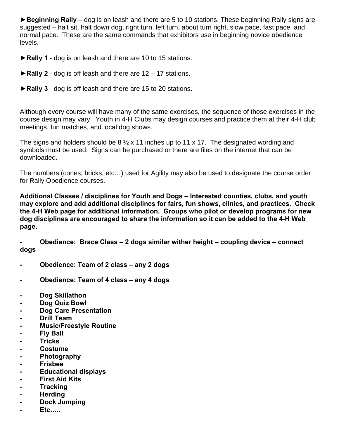**►Beginning Rally** – dog is on leash and there are 5 to 10 stations. These beginning Rally signs are suggested – halt sit, halt down dog, right turn, left turn, about turn right, slow pace, fast pace, and normal pace. These are the same commands that exhibitors use in beginning novice obedience levels.

**►Rally 1** - dog is on leash and there are 10 to 15 stations.

- **►Rally 2** dog is off leash and there are 12 17 stations.
- **►Rally 3** dog is off leash and there are 15 to 20 stations.

Although every course will have many of the same exercises, the sequence of those exercises in the course design may vary. Youth in 4-H Clubs may design courses and practice them at their 4-H club meetings, fun matches, and local dog shows.

The signs and holders should be 8  $\frac{1}{2}$  x 11 inches up to 11 x 17. The designated wording and symbols must be used. Signs can be purchased or there are files on the internet that can be downloaded.

The numbers (cones, bricks, etc…) used for Agility may also be used to designate the course order for Rally Obedience courses.

**Additional Classes / disciplines for Youth and Dogs – Interested counties, clubs, and youth may explore and add additional disciplines for fairs, fun shows, clinics, and practices. Check the 4-H Web page for additional information. Groups who pilot or develop programs for new dog disciplines are encouraged to share the information so it can be added to the 4-H Web page.** 

**- Obedience: Brace Class – 2 dogs similar wither height – coupling device – connect dogs** 

- **Obedience: Team of 2 class any 2 dogs**
- **Obedience: Team of 4 class any 4 dogs**
- **Dog Skillathon**
- **Dog Quiz Bowl**
- **Dog Care Presentation**
- **Drill Team**
- **Music/Freestyle Routine**
- **Fly Ball**
- **Tricks**
- **Costume**
- **Photography**
- **Frisbee**
- **Educational displays**
- **First Aid Kits**
- **Tracking**
- **Herding**
- **Dock Jumping**
- **Etc…..**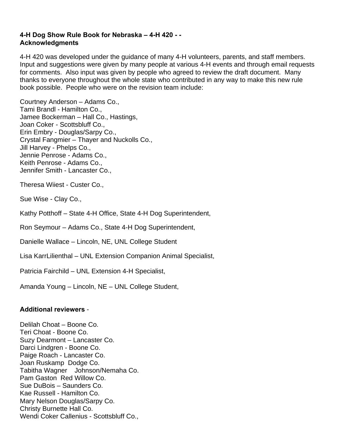#### **4-H Dog Show Rule Book for Nebraska – 4-H 420 - - Acknowledgments**

4-H 420 was developed under the guidance of many 4-H volunteers, parents, and staff members. Input and suggestions were given by many people at various 4-H events and through email requests for comments. Also input was given by people who agreed to review the draft document. Many thanks to everyone throughout the whole state who contributed in any way to make this new rule book possible. People who were on the revision team include:

Courtney Anderson – Adams Co., Tami Brandl - Hamilton Co., Jamee Bockerman – Hall Co., Hastings, Joan Coker - Scottsbluff Co., Erin Embry - Douglas/Sarpy Co., Crystal Fangmier – Thayer and Nuckolls Co., Jill Harvey - Phelps Co., Jennie Penrose - Adams Co., Keith Penrose - Adams Co., Jennifer Smith - Lancaster Co.,

Theresa Wiiest - Custer Co.,

Sue Wise - Clay Co.,

Kathy Potthoff – State 4-H Office, State 4-H Dog Superintendent,

Ron Seymour – Adams Co., State 4-H Dog Superintendent,

Danielle Wallace – Lincoln, NE, UNL College Student

Lisa KarrLilienthal – UNL Extension Companion Animal Specialist,

Patricia Fairchild – UNL Extension 4-H Specialist,

Amanda Young – Lincoln, NE – UNL College Student,

#### **Additional reviewers** -

Delilah Choat – Boone Co. Teri Choat - Boone Co. Suzy Dearmont – Lancaster Co. Darci Lindgren - Boone Co. Paige Roach - Lancaster Co. Joan Ruskamp Dodge Co. Tabitha Wagner Johnson/Nemaha Co. Pam Gaston Red Willow Co. Sue DuBois – Saunders Co. Kae Russell - Hamilton Co. Mary Nelson Douglas/Sarpy Co. Christy Burnette Hall Co. Wendi Coker Callenius - Scottsbluff Co.,